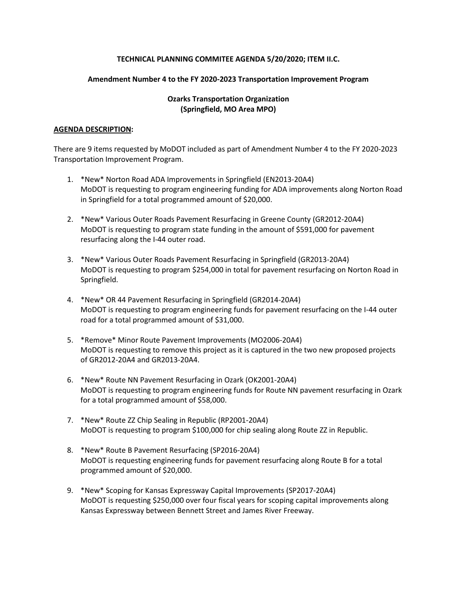## **TECHNICAL PLANNING COMMITEE AGENDA 5/20/2020; ITEM II.C.**

## **Amendment Number 4 to the FY 2020-2023 Transportation Improvement Program**

# **Ozarks Transportation Organization (Springfield, MO Area MPO)**

## **AGENDA DESCRIPTION:**

There are 9 items requested by MoDOT included as part of Amendment Number 4 to the FY 2020-2023 Transportation Improvement Program.

- 1. \*New\* Norton Road ADA Improvements in Springfield (EN2013-20A4) MoDOT is requesting to program engineering funding for ADA improvements along Norton Road in Springfield for a total programmed amount of \$20,000.
- 2. \*New\* Various Outer Roads Pavement Resurfacing in Greene County (GR2012-20A4) MoDOT is requesting to program state funding in the amount of \$591,000 for pavement resurfacing along the I-44 outer road.
- 3. \*New\* Various Outer Roads Pavement Resurfacing in Springfield (GR2013-20A4) MoDOT is requesting to program \$254,000 in total for pavement resurfacing on Norton Road in Springfield.
- 4. \*New\* OR 44 Pavement Resurfacing in Springfield (GR2014-20A4) MoDOT is requesting to program engineering funds for pavement resurfacing on the I-44 outer road for a total programmed amount of \$31,000.
- 5. \*Remove\* Minor Route Pavement Improvements (MO2006-20A4) MoDOT is requesting to remove this project as it is captured in the two new proposed projects of GR2012-20A4 and GR2013-20A4.
- 6. \*New\* Route NN Pavement Resurfacing in Ozark (OK2001-20A4) MoDOT is requesting to program engineering funds for Route NN pavement resurfacing in Ozark for a total programmed amount of \$58,000.
- 7. \*New\* Route ZZ Chip Sealing in Republic (RP2001-20A4) MoDOT is requesting to program \$100,000 for chip sealing along Route ZZ in Republic.
- 8. \*New\* Route B Pavement Resurfacing (SP2016-20A4) MoDOT is requesting engineering funds for pavement resurfacing along Route B for a total programmed amount of \$20,000.
- 9. \*New\* Scoping for Kansas Expressway Capital Improvements (SP2017-20A4) MoDOT is requesting \$250,000 over four fiscal years for scoping capital improvements along Kansas Expressway between Bennett Street and James River Freeway.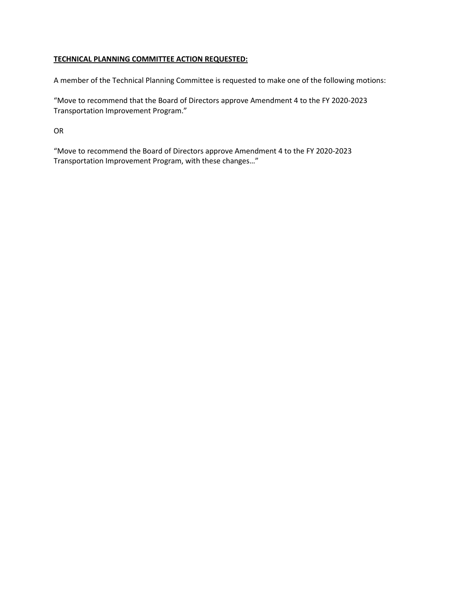# **TECHNICAL PLANNING COMMITTEE ACTION REQUESTED:**

A member of the Technical Planning Committee is requested to make one of the following motions:

"Move to recommend that the Board of Directors approve Amendment 4 to the FY 2020-2023 Transportation Improvement Program."

OR

"Move to recommend the Board of Directors approve Amendment 4 to the FY 2020-2023 Transportation Improvement Program, with these changes…"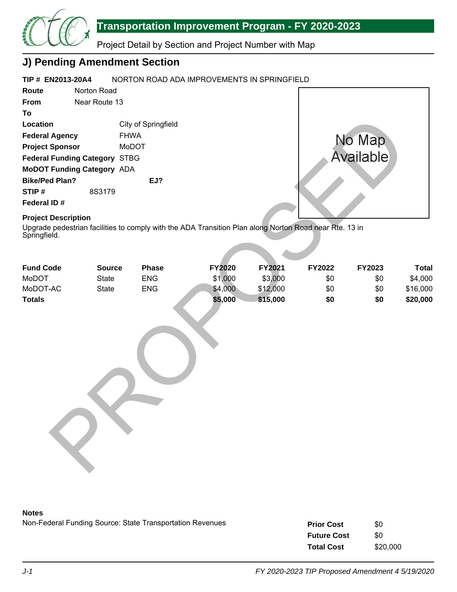

Project Detail by Section and Project Number with Map

# **J) Pending Amendment Section**

#### **TIP # EN2013-20A4** NORTON ROAD ADA IMPROVEMENTS IN SPRINGFIELD

| Route                             | Norton Road   |                     |                                                                                                        |          |        |           |          |
|-----------------------------------|---------------|---------------------|--------------------------------------------------------------------------------------------------------|----------|--------|-----------|----------|
| From                              | Near Route 13 |                     |                                                                                                        |          |        |           |          |
| To                                |               |                     |                                                                                                        |          |        |           |          |
| Location                          |               | City of Springfield |                                                                                                        |          |        |           |          |
| <b>Federal Agency</b>             |               | <b>FHWA</b>         |                                                                                                        |          |        | No Map    |          |
| <b>Project Sponsor</b>            |               | MoDOT               |                                                                                                        |          |        |           |          |
| Federal Funding Category STBG     |               |                     |                                                                                                        |          |        | Available |          |
| <b>MoDOT Funding Category ADA</b> |               |                     |                                                                                                        |          |        |           |          |
| <b>Bike/Ped Plan?</b>             |               | EJ?                 |                                                                                                        |          |        |           |          |
| STIP#                             | 8S3179        |                     |                                                                                                        |          |        |           |          |
| Federal ID#                       |               |                     |                                                                                                        |          |        |           |          |
| <b>Project Description</b>        |               |                     |                                                                                                        |          |        |           |          |
| Springfield.                      |               |                     | Upgrade pedestrian facilities to comply with the ADA Transition Plan along Norton Road near Rte. 13 in |          |        |           |          |
| <b>Fund Code</b>                  | <b>Source</b> | <b>Phase</b>        | FY2020                                                                                                 | FY2021   | FY2022 | FY2023    | Tota     |
| <b>MoDOT</b>                      | <b>State</b>  | <b>ENG</b>          | \$1,000                                                                                                | \$3,000  | \$0    | \$0       | \$4,000  |
| MoDOT-AC                          | <b>State</b>  | <b>ENG</b>          | \$4,000                                                                                                | \$12,000 | \$0    | \$0       | \$16,000 |
| <b>Totals</b>                     |               |                     | \$5,000                                                                                                | \$15,000 | \$0    | \$0       | \$20,000 |
|                                   |               |                     |                                                                                                        |          |        |           |          |

# **Project Description**

| <b>Fund Code</b> | <b>Source</b> | <b>Phase</b> | <b>FY2020</b> | <b>FY2021</b> | <b>FY2022</b> | <b>FY2023</b> | Total    |
|------------------|---------------|--------------|---------------|---------------|---------------|---------------|----------|
| MoDOT            | State         | <b>ENG</b>   | \$1,000       | \$3,000       | \$0           | \$0           | \$4,000  |
| MoDOT-AC         | State         | <b>ENG</b>   | \$4,000       | \$12,000      | \$0           | \$0           | \$16,000 |
| <b>Totals</b>    |               |              | \$5,000       | \$15,000      | \$0           | \$0           | \$20,000 |
|                  |               |              |               |               |               |               |          |

## **Notes**

| <b>Prior Cost</b>  | \$0      |
|--------------------|----------|
| <b>Future Cost</b> | \$0      |
| <b>Total Cost</b>  | \$20,000 |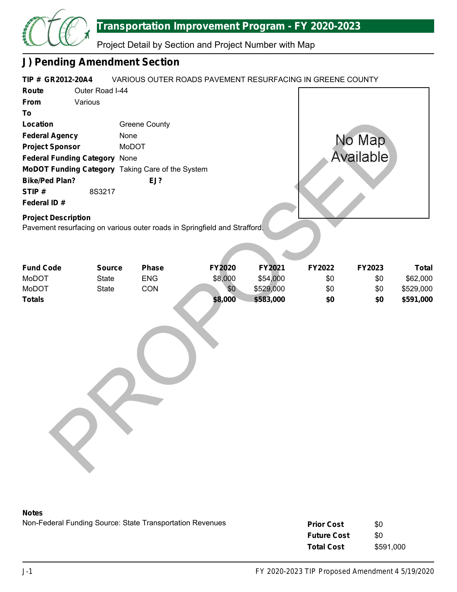

Project Detail by Section and Project Number with Map

# **J) Pending Amendment Section**

| TIP # GR2012-20A4          |                               | VARIOUS OUTER ROADS PAVEMENT RESURFACING IN GREENE COUNTY                 |         |           |        |           |              |
|----------------------------|-------------------------------|---------------------------------------------------------------------------|---------|-----------|--------|-----------|--------------|
| Route                      | Outer Road I-44               |                                                                           |         |           |        |           |              |
| From                       | Various                       |                                                                           |         |           |        |           |              |
| To                         |                               |                                                                           |         |           |        |           |              |
| <b>Location</b>            |                               | <b>Greene County</b>                                                      |         |           |        |           |              |
| <b>Federal Agency</b>      |                               | None                                                                      |         |           |        | No Map    |              |
| <b>Project Sponsor</b>     |                               | MoDOT                                                                     |         |           |        |           |              |
|                            | Federal Funding Category None |                                                                           |         |           |        | Available |              |
|                            |                               | MoDOT Funding Category Taking Care of the System                          |         |           |        |           |              |
| <b>Bike/Ped Plan?</b>      |                               | EJ?                                                                       |         |           |        |           |              |
| STIP#                      | 8S3217                        |                                                                           |         |           |        |           |              |
| Federal ID#                |                               |                                                                           |         |           |        |           |              |
| <b>Project Description</b> |                               |                                                                           |         |           |        |           |              |
|                            |                               | Pavement resurfacing on various outer roads in Springfield and Strafford. |         |           |        |           |              |
|                            |                               |                                                                           |         |           |        |           |              |
|                            |                               |                                                                           |         |           |        |           |              |
|                            |                               |                                                                           |         |           |        |           |              |
| <b>Fund Code</b>           | <b>Source</b>                 | <b>Phase</b>                                                              | FY2020  | FY2021    | FY2022 | FY2023    | <b>Total</b> |
| MoDOT                      | State                         | <b>ENG</b>                                                                | \$8,000 | \$54,000  | \$0    | \$0       | \$62,000     |
| MoDOT                      | <b>State</b>                  | CON                                                                       | \$0     | \$529,000 | \$0    | \$0       | \$529,000    |
| <b>Totals</b>              |                               |                                                                           | \$8,000 | \$583,000 | \$0    | \$0       | \$591,000    |
|                            |                               |                                                                           |         |           |        |           |              |
|                            |                               |                                                                           |         |           |        |           |              |
|                            |                               |                                                                           |         |           |        |           |              |
|                            |                               |                                                                           |         |           |        |           |              |
|                            |                               |                                                                           |         |           |        |           |              |
|                            |                               |                                                                           |         |           |        |           |              |
|                            |                               |                                                                           |         |           |        |           |              |
|                            |                               |                                                                           |         |           |        |           |              |
|                            |                               |                                                                           |         |           |        |           |              |
|                            |                               |                                                                           |         |           |        |           |              |
|                            |                               |                                                                           |         |           |        |           |              |
|                            |                               |                                                                           |         |           |        |           |              |
|                            |                               |                                                                           |         |           |        |           |              |
|                            |                               |                                                                           |         |           |        |           |              |
|                            |                               |                                                                           |         |           |        |           |              |
|                            |                               |                                                                           |         |           |        |           |              |
|                            |                               |                                                                           |         |           |        |           |              |
|                            |                               |                                                                           |         |           |        |           |              |

## **Notes**

| <b>Prior Cost</b>  | \$0       |
|--------------------|-----------|
| <b>Future Cost</b> | \$0       |
| <b>Total Cost</b>  | \$591,000 |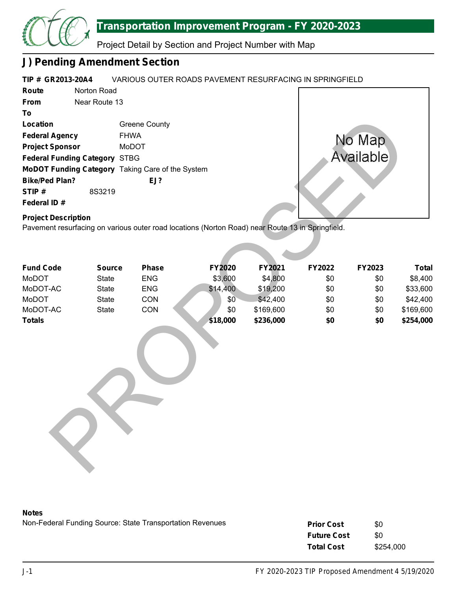

Project Detail by Section and Project Number with Map

# **J) Pending Amendment Section**

#### **TIP # GR2013-20A4** VARIOUS OUTER ROADS PAVEMENT RESURFACING IN SPRINGFIELD

| Route                                | Norton Road   |                                                         |
|--------------------------------------|---------------|---------------------------------------------------------|
| <b>From</b>                          | Near Route 13 |                                                         |
| Т٥                                   |               |                                                         |
| Location                             |               | Greene County                                           |
| <b>Federal Agency</b>                |               | <b>FHWA</b>                                             |
| <b>Project Sponsor</b>               |               | MoDOT                                                   |
| <b>Federal Funding Category STBG</b> |               |                                                         |
|                                      |               | <b>MoDOT Funding Category</b> Taking Care of the System |
| <b>Bike/Ped Plan?</b>                |               | $EJ$ ?                                                  |
| STIP#                                | 8S3219        |                                                         |
| Federal ID#                          |               |                                                         |



# **Project Description**

| Location                                                                                                                       |               | <b>Greene County</b> |          |           |        |           |              |
|--------------------------------------------------------------------------------------------------------------------------------|---------------|----------------------|----------|-----------|--------|-----------|--------------|
| <b>Federal Agency</b>                                                                                                          | <b>FHWA</b>   |                      |          |           |        | No Map    |              |
| <b>Project Sponsor</b>                                                                                                         |               | MoDOT                |          |           |        |           |              |
| <b>Federal Funding Category STBG</b>                                                                                           |               |                      |          |           |        | Available |              |
| MoDOT Funding Category Taking Care of the System                                                                               |               |                      |          |           |        |           |              |
| <b>Bike/Ped Plan?</b>                                                                                                          |               | EJ?                  |          |           |        |           |              |
| STIP#                                                                                                                          | 8S3219        |                      |          |           |        |           |              |
| Federal ID#                                                                                                                    |               |                      |          |           |        |           |              |
| <b>Project Description</b><br>Pavement resurfacing on various outer road locations (Norton Road) near Route 13 in Springfield. |               |                      |          |           |        |           |              |
| <b>Fund Code</b>                                                                                                               | <b>Source</b> | <b>Phase</b>         | FY2020   | FY2021    | FY2022 | FY2023    | <b>Total</b> |
| MoDOT                                                                                                                          | State         | <b>ENG</b>           | \$3,600  | \$4,800   | \$0    | \$0       | \$8,400      |
| MoDOT-AC                                                                                                                       | State         | <b>ENG</b>           | \$14,400 | \$19,200  | \$0    | \$0       | \$33,600     |
| MoDOT                                                                                                                          | State         | CON                  | \$0      | \$42,400  | \$0    | \$0       | \$42,400     |
| MoDOT-AC                                                                                                                       | State         | CON                  | \$0      | \$169,600 | \$0    | \$0       | \$169,600    |
| <b>Totals</b>                                                                                                                  |               |                      | \$18,000 | \$236,000 | \$0    | \$0       | \$254,000    |

## **Notes**

| <b>Prior Cost</b>  | \$0       |
|--------------------|-----------|
| <b>Future Cost</b> | \$0       |
| <b>Total Cost</b>  | \$254,000 |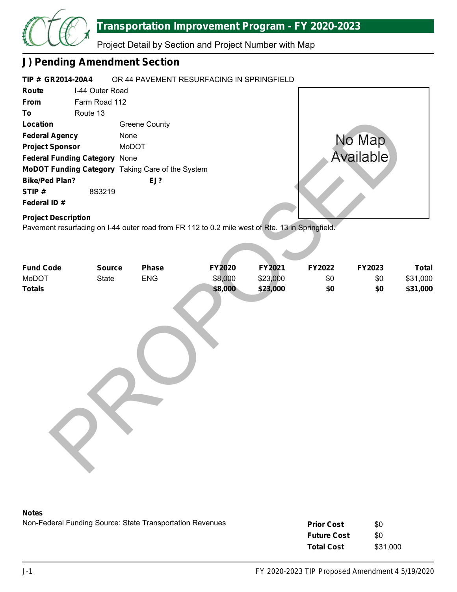

Project Detail by Section and Project Number with Map

# **J) Pending Amendment Section**

| TIP # GR2014-20A4                    |               | OR 44 PAVEMENT RESURFACING IN SPRINGFIELD        |           |  |  |  |  |
|--------------------------------------|---------------|--------------------------------------------------|-----------|--|--|--|--|
| Route                                |               | I-44 Outer Road                                  |           |  |  |  |  |
| <b>From</b>                          | Farm Road 112 |                                                  |           |  |  |  |  |
| To                                   | Route 13      |                                                  |           |  |  |  |  |
| Location                             |               | Greene County                                    |           |  |  |  |  |
| <b>Federal Agency</b>                |               | None                                             | No Map    |  |  |  |  |
| <b>Project Sponsor</b>               |               | MoDOT                                            |           |  |  |  |  |
| <b>Federal Funding Category None</b> |               |                                                  | Available |  |  |  |  |
|                                      |               | MoDOT Funding Category Taking Care of the System |           |  |  |  |  |
| <b>Bike/Ped Plan?</b>                |               | EJ?                                              |           |  |  |  |  |
| STIP#                                | 8S3219        |                                                  |           |  |  |  |  |
| Federal ID#                          |               |                                                  |           |  |  |  |  |
| <b>Project Description</b>           |               |                                                  |           |  |  |  |  |

| Location                                                                                        |               | <b>Greene County</b> |         |          |        |               |              |
|-------------------------------------------------------------------------------------------------|---------------|----------------------|---------|----------|--------|---------------|--------------|
| <b>Federal Agency</b>                                                                           | None          |                      |         |          |        | No Map        |              |
| <b>Project Sponsor</b>                                                                          |               | MoDOT                |         |          |        |               |              |
| Federal Funding Category None                                                                   |               |                      |         |          |        | Available     |              |
| MoDOT Funding Category Taking Care of the System                                                |               |                      |         |          |        |               |              |
| <b>Bike/Ped Plan?</b>                                                                           |               | EJ?                  |         |          |        |               |              |
| STIP#                                                                                           | 8S3219        |                      |         |          |        |               |              |
| Federal ID#                                                                                     |               |                      |         |          |        |               |              |
| <b>Project Description</b>                                                                      |               |                      |         |          |        |               |              |
| Pavement resurfacing on I-44 outer road from FR 112 to 0.2 mile west of Rte. 13 in Springfield. |               |                      |         |          |        |               |              |
|                                                                                                 |               |                      |         |          |        |               |              |
|                                                                                                 |               |                      |         |          |        |               |              |
| <b>Fund Code</b>                                                                                | <b>Source</b> | Phase                | FY2020  | FY2021   | FY2022 | <b>FY2023</b> | <b>Total</b> |
| MoDOT                                                                                           | <b>State</b>  | ENG                  | \$8,000 | \$23,000 | \$0    | \$0           | \$31,000     |
| <b>Totals</b>                                                                                   |               |                      | \$8,000 | \$23,000 | \$0    | \$0           | \$31,000     |
|                                                                                                 |               |                      |         |          |        |               |              |
|                                                                                                 |               |                      |         |          |        |               |              |
|                                                                                                 |               |                      |         |          |        |               |              |
|                                                                                                 |               |                      |         |          |        |               |              |
|                                                                                                 |               |                      |         |          |        |               |              |
|                                                                                                 |               |                      |         |          |        |               |              |
|                                                                                                 |               |                      |         |          |        |               |              |
|                                                                                                 |               |                      |         |          |        |               |              |
|                                                                                                 |               |                      |         |          |        |               |              |
|                                                                                                 |               |                      |         |          |        |               |              |
|                                                                                                 |               |                      |         |          |        |               |              |
|                                                                                                 |               |                      |         |          |        |               |              |
|                                                                                                 |               |                      |         |          |        |               |              |
|                                                                                                 |               |                      |         |          |        |               |              |
|                                                                                                 |               |                      |         |          |        |               |              |
|                                                                                                 |               |                      |         |          |        |               |              |
|                                                                                                 |               |                      |         |          |        |               |              |

## **Notes**

| <b>Prior Cost</b>  | \$0      |
|--------------------|----------|
| <b>Future Cost</b> | \$0      |
| <b>Total Cost</b>  | \$31,000 |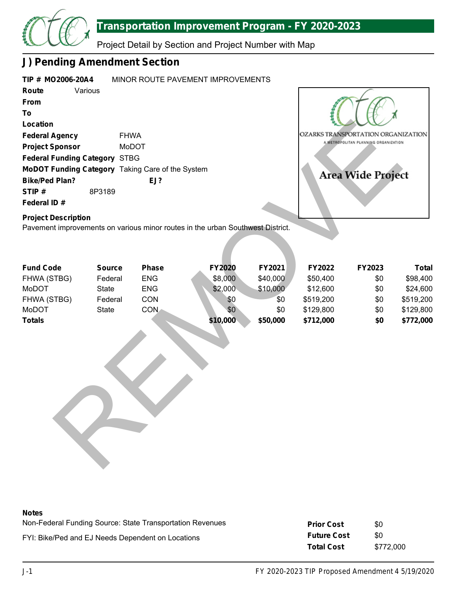

Project Detail by Section and Project Number with Map

# **J) Pending Amendment Section**

| TIP # MO2006-20A4                                |               |              | MINOR ROUTE PAVEMENT IMPROVEMENTS                                              |          |           |                                      |              |
|--------------------------------------------------|---------------|--------------|--------------------------------------------------------------------------------|----------|-----------|--------------------------------------|--------------|
| Route                                            | Various       |              |                                                                                |          |           |                                      |              |
| From                                             |               |              |                                                                                |          |           |                                      |              |
| To                                               |               |              |                                                                                |          |           |                                      |              |
| Location                                         |               |              |                                                                                |          |           |                                      |              |
| <b>Federal Agency</b>                            | <b>FHWA</b>   |              |                                                                                |          |           | OZARKS TRANSPORTATION ORGANIZATION   |              |
| <b>Project Sponsor</b>                           |               | <b>MoDOT</b> |                                                                                |          |           | A METROPOLITAN PLANNING ORGANIZATION |              |
| <b>Federal Funding Category STBG</b>             |               |              |                                                                                |          |           |                                      |              |
| MoDOT Funding Category Taking Care of the System |               |              |                                                                                |          |           |                                      |              |
| <b>Bike/Ped Plan?</b>                            |               | EJ?          |                                                                                |          |           | <b>Area Wide Project</b>             |              |
| STIP#                                            | 8P3189        |              |                                                                                |          |           |                                      |              |
| Federal ID#                                      |               |              |                                                                                |          |           |                                      |              |
| <b>Project Description</b>                       |               |              |                                                                                |          |           |                                      |              |
|                                                  |               |              | Pavement improvements on various minor routes in the urban Southwest District. |          |           |                                      |              |
|                                                  |               |              |                                                                                |          |           |                                      |              |
|                                                  |               |              |                                                                                |          |           |                                      |              |
|                                                  |               |              |                                                                                |          |           |                                      |              |
| <b>Fund Code</b>                                 | <b>Source</b> | <b>Phase</b> | <b>FY2020</b>                                                                  | FY2021   | FY2022    | FY2023                               | <b>Total</b> |
| FHWA (STBG)                                      | Federal       | <b>ENG</b>   | \$8,000                                                                        | \$40,000 | \$50,400  | \$0                                  | \$98,400     |
| <b>MoDOT</b>                                     | <b>State</b>  | <b>ENG</b>   | \$2,000                                                                        | \$10,000 | \$12,600  | \$0                                  | \$24,600     |
| FHWA (STBG)                                      | Federal       | CON          | \$0                                                                            | \$0      | \$519,200 | \$0                                  | \$519,200    |
| MoDOT                                            | <b>State</b>  | <b>CON</b>   | \$0                                                                            | \$0      | \$129,800 | \$0                                  | \$129,800    |
| <b>Totals</b>                                    |               |              | \$10,000                                                                       | \$50,000 | \$712,000 | \$0                                  | \$772,000    |
|                                                  |               |              |                                                                                |          |           |                                      |              |
|                                                  |               |              |                                                                                |          |           |                                      |              |
|                                                  |               |              |                                                                                |          |           |                                      |              |
|                                                  |               |              |                                                                                |          |           |                                      |              |
|                                                  |               |              |                                                                                |          |           |                                      |              |
|                                                  |               |              |                                                                                |          |           |                                      |              |
|                                                  |               |              |                                                                                |          |           |                                      |              |
|                                                  |               |              |                                                                                |          |           |                                      |              |
|                                                  |               |              |                                                                                |          |           |                                      |              |
|                                                  |               |              |                                                                                |          |           |                                      |              |
|                                                  |               |              |                                                                                |          |           |                                      |              |
|                                                  |               |              |                                                                                |          |           |                                      |              |
|                                                  |               |              |                                                                                |          |           |                                      |              |

| <b>Fund Code</b> | <b>Source</b> | <b>Phase</b> | <b>FY2020</b> | <b>FY2021</b> | <b>FY2022</b> | <b>FY2023</b> | Total     |
|------------------|---------------|--------------|---------------|---------------|---------------|---------------|-----------|
| FHWA (STBG)      | Federal       | <b>ENG</b>   | \$8,000       | \$40,000      | \$50,400      | \$0           | \$98,400  |
| MoDOT            | State         | <b>ENG</b>   | \$2,000       | \$10,000      | \$12,600      | \$0           | \$24,600  |
| FHWA (STBG)      | Federal       | CON          | \$0           | \$0           | \$519,200     | \$0           | \$519,200 |
| MoDOT            | State         | CON .        | \$0           | \$0           | \$129,800     | \$0           | \$129,800 |
| <b>Totals</b>    |               |              | \$10,000      | \$50,000      | \$712,000     | \$0           | \$772,000 |

## **Notes**

| .                                                         |                    |           |
|-----------------------------------------------------------|--------------------|-----------|
| Non-Federal Funding Source: State Transportation Revenues | <b>Prior Cost</b>  | \$0       |
| FYI: Bike/Ped and EJ Needs Dependent on Locations         | <b>Future Cost</b> | SO.       |
|                                                           | <b>Total Cost</b>  | \$772.000 |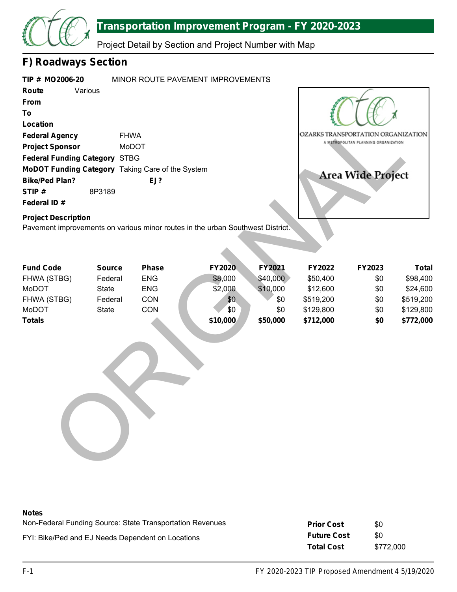

Project Detail by Section and Project Number with Map

# **F) Roadways Section**

| TIP # MO2006-20                      | MINOR ROUTE PAVEMENT IMPROVEMENTS                       |
|--------------------------------------|---------------------------------------------------------|
| Various<br>Route                     |                                                         |
| From                                 |                                                         |
| Τo                                   |                                                         |
| Location                             |                                                         |
| <b>Federal Agency</b>                | <b>FHWA</b>                                             |
| <b>Project Sponsor</b>               | MoDOT                                                   |
| <b>Federal Funding Category STBG</b> |                                                         |
|                                      | <b>MoDOT Funding Category Taking Care of the System</b> |
| <b>Bike/Ped Plan?</b>                | EJ?                                                     |
| STIP#<br>8P3189                      |                                                         |
| Federal ID#                          |                                                         |



# **Project Description**

| Location                                                                                                     |               |            |               |               |           |                                                                            |              |
|--------------------------------------------------------------------------------------------------------------|---------------|------------|---------------|---------------|-----------|----------------------------------------------------------------------------|--------------|
| <b>Federal Agency</b>                                                                                        | <b>FHWA</b>   |            |               |               |           | OZARKS TRANSPORTATION ORGANIZATION<br>A METROPOLITAN PLANNING ORGANIZATION |              |
| <b>Project Sponsor</b>                                                                                       |               | MoDOT      |               |               |           |                                                                            |              |
| Federal Funding Category STBG                                                                                |               |            |               |               |           |                                                                            |              |
| MoDOT Funding Category Taking Care of the System                                                             |               |            |               |               |           | <b>Area Wide Project</b>                                                   |              |
| <b>Bike/Ped Plan?</b>                                                                                        |               | EJ?        |               |               |           |                                                                            |              |
| STIP#                                                                                                        | 8P3189        |            |               |               |           |                                                                            |              |
| Federal ID#                                                                                                  |               |            |               |               |           |                                                                            |              |
| <b>Project Description</b><br>Pavement improvements on various minor routes in the urban Southwest District. |               |            |               |               |           |                                                                            |              |
| <b>Fund Code</b>                                                                                             | <b>Source</b> | Phase      | <b>FY2020</b> | <b>FY2021</b> | FY2022    | FY2023                                                                     | <b>Total</b> |
| FHWA (STBG)                                                                                                  | Federal       | <b>ENG</b> | \$8,000       | \$40,000      | \$50,400  | \$0                                                                        | \$98,400     |
| <b>MoDOT</b>                                                                                                 | <b>State</b>  | <b>ENG</b> | \$2,000       | \$10,000      | \$12,600  | \$0                                                                        | \$24,600     |
| FHWA (STBG)                                                                                                  | Federal       | CON        | \$0           | \$0           | \$519,200 | \$0                                                                        | \$519,200    |
| MoDOT                                                                                                        | <b>State</b>  | CON        | \$0           | \$0           | \$129,800 | \$0                                                                        | \$129,800    |
| <b>Totals</b>                                                                                                |               |            | \$10,000      | \$50,000      | \$712,000 | \$0                                                                        | \$772,000    |
|                                                                                                              |               |            |               |               |           |                                                                            |              |

## **Notes**

| 110163                                                    |                    |           |
|-----------------------------------------------------------|--------------------|-----------|
| Non-Federal Funding Source: State Transportation Revenues | <b>Prior Cost</b>  | \$0       |
| FYI: Bike/Ped and EJ Needs Dependent on Locations         | <b>Future Cost</b> | \$0       |
|                                                           | <b>Total Cost</b>  | \$772,000 |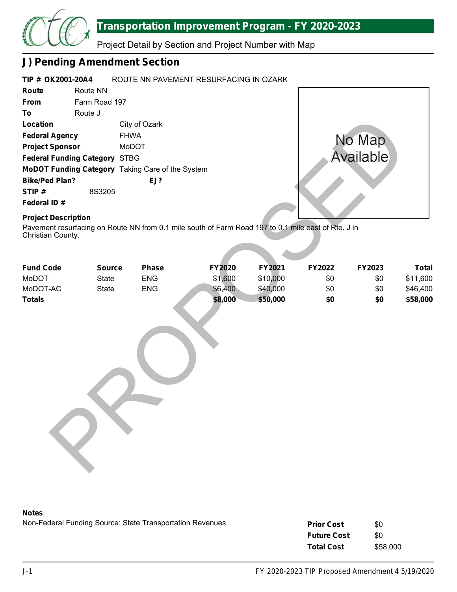

Project Detail by Section and Project Number with Map

# **J) Pending Amendment Section**

| TIP # OK2001-20A4                                                                                                                                      |               |               | ROUTE NN PAVEMENT RESURFACING IN OZARK |               |         |          |        |           |  |  |
|--------------------------------------------------------------------------------------------------------------------------------------------------------|---------------|---------------|----------------------------------------|---------------|---------|----------|--------|-----------|--|--|
| Route                                                                                                                                                  | Route NN      |               |                                        |               |         |          |        |           |  |  |
| From                                                                                                                                                   |               | Farm Road 197 |                                        |               |         |          |        |           |  |  |
| To                                                                                                                                                     | Route J       |               |                                        |               |         |          |        |           |  |  |
| Location                                                                                                                                               |               |               | City of Ozark                          |               |         |          |        |           |  |  |
| <b>Federal Agency</b>                                                                                                                                  |               | <b>FHWA</b>   |                                        |               |         |          |        | No Map    |  |  |
| <b>Project Sponsor</b>                                                                                                                                 |               | MoDOT         |                                        |               |         |          |        |           |  |  |
| <b>Federal Funding Category STBG</b>                                                                                                                   |               |               |                                        |               |         |          |        | Available |  |  |
| MoDOT Funding Category Taking Care of the System                                                                                                       |               |               |                                        |               |         |          |        |           |  |  |
| <b>Bike/Ped Plan?</b>                                                                                                                                  |               |               | EJ?                                    |               |         |          |        |           |  |  |
| STIP#                                                                                                                                                  | 8S3205        |               |                                        |               |         |          |        |           |  |  |
| Federal ID#                                                                                                                                            |               |               |                                        |               |         |          |        |           |  |  |
| <b>Project Description</b><br>Pavement resurfacing on Route NN from 0.1 mile south of Farm Road 197 to 0.1 mile east of Rte. J in<br>Christian County. |               |               |                                        |               |         |          |        |           |  |  |
| <b>Fund Code</b>                                                                                                                                       | <b>Source</b> |               | <b>Phase</b>                           | <b>FY2020</b> |         | FY2021   | FY2022 | FY2023    |  |  |
| MoDOT                                                                                                                                                  | <b>State</b>  |               | <b>ENG</b>                             | \$1,600       |         | \$10,000 | \$0    | \$0       |  |  |
| MoDOT-AC                                                                                                                                               | <b>State</b>  |               | <b>ENG</b>                             |               | \$6,400 | \$40,000 | \$0    | \$0       |  |  |
| <b>Totals</b>                                                                                                                                          |               |               |                                        |               | \$8,000 | \$50,000 | \$0    | \$0       |  |  |

# **Project Description**

| <b>Fund Code</b> | <b>Source</b> | <b>Phase</b> | <b>FY2020</b> | <b>FY2021</b> | <b>FY2022</b> | <b>FY2023</b> | Total    |  |  |
|------------------|---------------|--------------|---------------|---------------|---------------|---------------|----------|--|--|
| MoDOT            | State         | <b>ENG</b>   | \$1,600       | \$10,000      | \$0           | \$0           | \$11,600 |  |  |
| MoDOT-AC         | State         | <b>ENG</b>   | \$6,400       | \$40,000      | \$0           | \$0           | \$46,400 |  |  |
| <b>Totals</b>    |               |              | \$8,000       | \$50,000      | \$0           | \$0           | \$58,000 |  |  |
|                  |               |              |               |               |               |               |          |  |  |

# **Notes**

| <b>Prior Cost</b>  | \$0      |
|--------------------|----------|
| <b>Future Cost</b> | \$0      |
| <b>Total Cost</b>  | \$58,000 |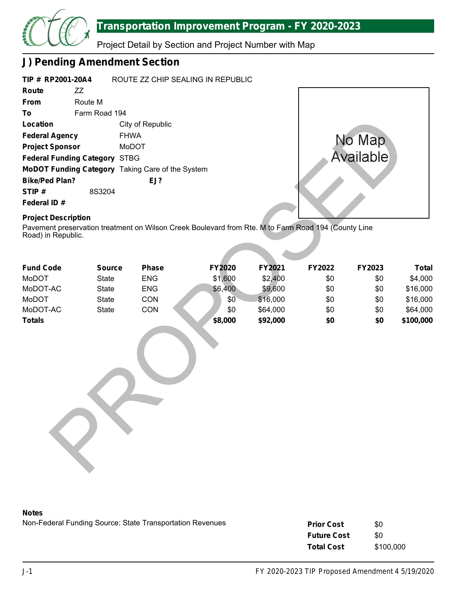

Project Detail by Section and Project Number with Map

# **J) Pending Amendment Section**

| TIP # RP2001-20A4                    |               | ROUTE ZZ CHIP SEALING IN REPUBLIC                       |  |  |  |  |
|--------------------------------------|---------------|---------------------------------------------------------|--|--|--|--|
| Route                                | 77            |                                                         |  |  |  |  |
| <b>From</b>                          | Route M       |                                                         |  |  |  |  |
| Τo                                   | Farm Road 194 |                                                         |  |  |  |  |
| Location                             |               | City of Republic                                        |  |  |  |  |
| <b>Federal Agency</b>                |               | <b>FHWA</b>                                             |  |  |  |  |
| <b>Project Sponsor</b>               |               | MoDOT                                                   |  |  |  |  |
| <b>Federal Funding Category STBG</b> |               |                                                         |  |  |  |  |
|                                      |               | <b>MoDOT Funding Category</b> Taking Care of the System |  |  |  |  |
| <b>Bike/Ped Plan?</b>                |               | EJ?                                                     |  |  |  |  |
| STIP#                                | 8S3204        |                                                         |  |  |  |  |
| Federal ID#                          |               |                                                         |  |  |  |  |



# **Project Description**

| Location                                         |               | City of Republic |                                                                                                     |           |        |        |              |
|--------------------------------------------------|---------------|------------------|-----------------------------------------------------------------------------------------------------|-----------|--------|--------|--------------|
| <b>Federal Agency</b>                            |               | <b>FHWA</b>      |                                                                                                     |           |        | No Map |              |
| <b>Project Sponsor</b><br>MoDOT                  |               |                  |                                                                                                     |           |        |        |              |
| <b>Federal Funding Category STBG</b>             |               |                  |                                                                                                     | Available |        |        |              |
| MoDOT Funding Category Taking Care of the System |               |                  |                                                                                                     |           |        |        |              |
| <b>Bike/Ped Plan?</b>                            |               | EJ?              |                                                                                                     |           |        |        |              |
| STIP#                                            | 8S3204        |                  |                                                                                                     |           |        |        |              |
| Federal ID#                                      |               |                  |                                                                                                     |           |        |        |              |
| <b>Project Description</b><br>Road) in Republic. |               |                  | Pavement preservation treatment on Wilson Creek Boulevard from Rte. M to Farm Road 194 (County Line |           |        |        |              |
| <b>Fund Code</b>                                 | <b>Source</b> | <b>Phase</b>     | FY2020                                                                                              | FY2021    | FY2022 | FY2023 | <b>Total</b> |
| MoDOT                                            | <b>State</b>  | <b>ENG</b>       | \$1,600                                                                                             | \$2,400   | \$0    | \$0    | \$4,000      |
| MoDOT-AC                                         | State         | <b>ENG</b>       | \$6,400                                                                                             | \$9,600   | \$0    | \$0    | \$16,000     |
| MoDOT                                            | State         | CON              | \$0                                                                                                 | \$16,000  | \$0    | \$0    | \$16,000     |
| MoDOT-AC                                         | State         | CON              | \$0                                                                                                 | \$64,000  | \$0    | \$0    | \$64,000     |
| <b>Totals</b>                                    |               |                  | \$8,000                                                                                             | \$92,000  | \$0    | \$0    | \$100,000    |
|                                                  |               |                  |                                                                                                     |           |        |        |              |

## **Notes**

| <b>Prior Cost</b>  | \$0       |
|--------------------|-----------|
| <b>Future Cost</b> | \$0       |
| <b>Total Cost</b>  | \$100,000 |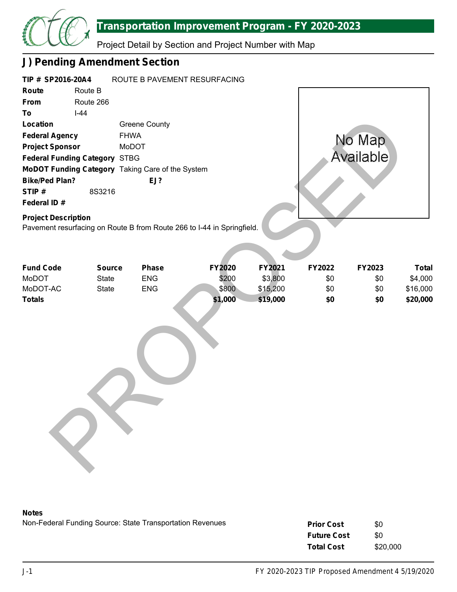

| TIP # SP2016-20A4<br>Route<br>From<br>To<br>Location<br><b>Federal Agency</b><br><b>Project Sponsor</b><br><b>Federal Funding Category STBG</b><br><b>Bike/Ped Plan?</b><br>STIP#<br>Federal ID#<br><b>Project Description</b> | Route B<br>Route 266<br>$I-44$<br>8S3216 | <b>Greene County</b><br><b>FHWA</b><br>MoDOT<br>MoDOT Funding Category Taking Care of the System<br>EJ? | ROUTE B PAVEMENT RESURFACING<br>Pavement resurfacing on Route B from Route 266 to I-44 in Springfield. |         |                     |            | No Map<br>Available |                     |
|--------------------------------------------------------------------------------------------------------------------------------------------------------------------------------------------------------------------------------|------------------------------------------|---------------------------------------------------------------------------------------------------------|--------------------------------------------------------------------------------------------------------|---------|---------------------|------------|---------------------|---------------------|
| <b>Fund Code</b><br>MoDOT                                                                                                                                                                                                      | <b>Source</b><br><b>State</b>            | Phase<br><b>ENG</b>                                                                                     | FY2020                                                                                                 | \$200   | FY2021              | FY2022     | FY2023              | <b>Total</b>        |
| MoDOT-AC                                                                                                                                                                                                                       | <b>State</b>                             | <b>ENG</b>                                                                                              |                                                                                                        | \$800   | \$3,800<br>\$15,200 | \$0<br>\$0 | \$0<br>\$0          | \$4,000<br>\$16,000 |
| <b>Totals</b>                                                                                                                                                                                                                  |                                          |                                                                                                         |                                                                                                        | \$1,000 | \$19,000            | \$0        | \$0                 | \$20,000            |
|                                                                                                                                                                                                                                |                                          |                                                                                                         |                                                                                                        |         |                     |            |                     |                     |

### **Notes**

| <b>Prior Cost</b>  | \$0      |
|--------------------|----------|
| <b>Future Cost</b> | \$0      |
| <b>Total Cost</b>  | \$20,000 |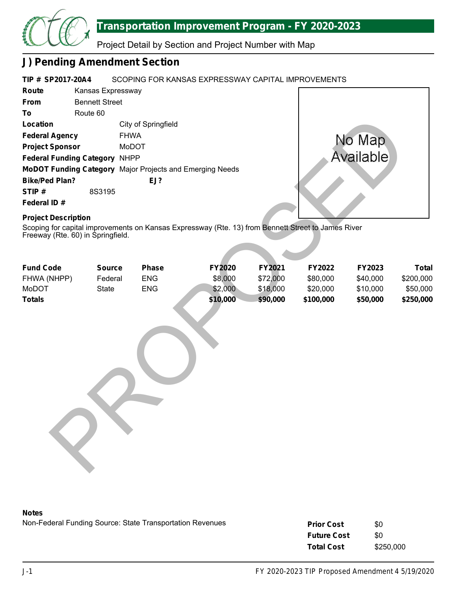

Project Detail by Section and Project Number with Map

# **J) Pending Amendment Section**

#### **TIP # SP2017-20A4** SCOPING FOR KANSAS EXPRESSWAY CAPITAL IMPROVEMENTS

| Route                                | Kansas Expressway     |                                                                 |
|--------------------------------------|-----------------------|-----------------------------------------------------------------|
| <b>From</b>                          | <b>Bennett Street</b> |                                                                 |
| To                                   | Route 60              |                                                                 |
| Location                             |                       | City of Springfield                                             |
| <b>Federal Agency</b>                |                       | <b>FHWA</b>                                                     |
| <b>Project Sponsor</b>               |                       | MoDOT                                                           |
| <b>Federal Funding Category NHPP</b> |                       |                                                                 |
|                                      |                       | <b>MoDOT Funding Category</b> Major Projects and Emerging Needs |
| <b>Bike/Ped Plan?</b>                |                       | EJ?                                                             |
| STIP#                                | 8S3195                |                                                                 |
| Federal ID#                          |                       |                                                                 |



# **Project Description**

|                                                                 | EJ?                               |                                                                                                                                 |                                                                                                             |                                            |                                             |                                                                                                                                                                         |
|-----------------------------------------------------------------|-----------------------------------|---------------------------------------------------------------------------------------------------------------------------------|-------------------------------------------------------------------------------------------------------------|--------------------------------------------|---------------------------------------------|-------------------------------------------------------------------------------------------------------------------------------------------------------------------------|
| 8S3195                                                          |                                   |                                                                                                                                 |                                                                                                             |                                            |                                             |                                                                                                                                                                         |
|                                                                 |                                   |                                                                                                                                 |                                                                                                             |                                            |                                             |                                                                                                                                                                         |
| <b>Project Description</b><br>Freeway (Rte. 60) in Springfield. |                                   |                                                                                                                                 |                                                                                                             |                                            |                                             |                                                                                                                                                                         |
|                                                                 |                                   |                                                                                                                                 |                                                                                                             |                                            |                                             | <b>Total</b>                                                                                                                                                            |
|                                                                 |                                   |                                                                                                                                 |                                                                                                             |                                            |                                             | \$200,000                                                                                                                                                               |
|                                                                 |                                   |                                                                                                                                 |                                                                                                             |                                            |                                             | \$50,000                                                                                                                                                                |
|                                                                 |                                   |                                                                                                                                 |                                                                                                             |                                            |                                             | \$250,000                                                                                                                                                               |
|                                                                 |                                   |                                                                                                                                 |                                                                                                             |                                            |                                             |                                                                                                                                                                         |
|                                                                 | <b>Source</b><br>Federal<br>State | City of Springfield<br><b>FHWA</b><br>MoDOT<br><b>Federal Funding Category NHPP</b><br><b>Phase</b><br><b>ENG</b><br><b>ENG</b> | MoDOT Funding Category Major Projects and Emerging Needs<br><b>FY2020</b><br>\$8,000<br>\$2,000<br>\$10,000 | FY2021<br>\$72,000<br>\$18,000<br>\$90,000 | FY2022<br>\$80,000<br>\$20,000<br>\$100,000 | No Map<br>Available<br>Scoping for capital improvements on Kansas Expressway (Rte. 13) from Bennett Street to James River<br>FY2023<br>\$40,000<br>\$10,000<br>\$50,000 |

### **Notes**

| <b>Prior Cost</b>  | \$0       |
|--------------------|-----------|
| <b>Future Cost</b> | \$0       |
| <b>Total Cost</b>  | \$250,000 |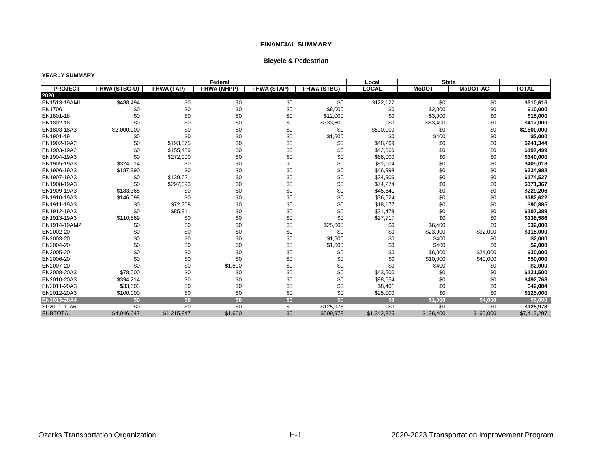|  | <b>Bicycle &amp; Pedestrian</b> |
|--|---------------------------------|
|--|---------------------------------|

### **YEARLY SUMMARY**

|                 |                      |                   | Federal            |                    |                    | Local        | <b>State</b> |                 |              |
|-----------------|----------------------|-------------------|--------------------|--------------------|--------------------|--------------|--------------|-----------------|--------------|
| <b>PROJECT</b>  | <b>FHWA (STBG-U)</b> | <b>FHWA (TAP)</b> | <b>FHWA (NHPP)</b> | <b>FHWA (STAP)</b> | <b>FHWA (STBG)</b> | <b>LOCAL</b> | <b>MoDOT</b> | <b>MoDOT-AC</b> | <b>TOTAL</b> |
| 2020            |                      |                   |                    |                    |                    |              |              |                 |              |
| EN1513-19AM1    | \$488,494            | \$0               | \$0                | \$0                | \$0                | \$122,122    | \$0          | $\overline{50}$ | \$610,616    |
| EN1706          | \$0                  | \$0               | \$0                | \$0                | \$8,000            | \$0          | \$2,000      | \$0             | \$10,000     |
| EN1801-18       | \$0                  | \$0               | \$0                | \$0                | \$12,000           | \$0          | \$3,000      | \$0             | \$15,000     |
| EN1802-18       | \$0                  | \$0               | \$0                | \$0                | \$333,600          | \$0          | \$83,400     | \$0             | \$417,000    |
| EN1803-18A3     | \$2,000,000          | \$0               | \$0                | \$0                | \$0                | \$500,000    | \$0          | \$0             | \$2,500,000  |
| EN1901-19       | \$0                  | \$0               | \$0                | \$0                | \$1,600            | \$0          | \$400        | \$0             | \$2,000      |
| EN1902-19A2     | \$0                  | \$193,075         | \$0                | \$0                | \$0                | \$48,269     | \$0          | \$0             | \$241,344    |
| EN1903-19A2     | \$0                  | \$155,439         | \$0                | \$0                | \$0                | \$42,060     | \$0          | \$0             | \$197,499    |
| EN1904-19A3     | \$0                  | \$272,000         | \$0                | \$0                | \$0                | \$68,000     | \$0          | \$0             | \$340,000    |
| EN1905-19A3     | \$324,014            | \$0               | \$0                | \$0                | \$0                | \$81,004     | \$0          | \$0             | \$405,018    |
| EN1906-19A3     | \$187,990            | \$0               | \$0                | \$0                | \$0                | \$46,998     | \$0          | \$0             | \$234,988    |
| EN1907-19A3     | \$0                  | \$139,621         | \$0                | \$0                | \$0                | \$34,906     | \$0          | \$0             | \$174,527    |
| EN1908-19A3     | \$0                  | \$297,093         | \$0                | \$0                | \$0                | \$74,274     | \$0          | \$0             | \$371,367    |
| EN1909-19A3     | \$183,365            | \$0               | \$0                | \$0                | \$0                | \$45,841     | \$0          | \$0             | \$229,206    |
| EN1910-19A3     | \$146,098            | \$0               | \$0                | \$0                | \$0                | \$36,524     | \$0          | \$0             | \$182,622    |
| EN1911-19A3     | \$0                  | \$72,708          | \$0                | \$0                | \$0                | \$18,177     | \$0          | \$0             | \$90,885     |
| EN1912-19A3     | \$0                  | \$85,911          | \$0                | \$0                | \$0                | \$21,478     | \$0          | \$0             | \$107,389    |
| EN1913-19A3     | \$110,869            | \$0               | \$0                | \$0                | \$0                | \$27,717     | \$0          | \$0             | \$138,586    |
| EN1914-19AM2    | \$0                  | \$0               | \$0                | \$0                | \$25,600           | \$0          | \$6,400      | \$0             | \$32,000     |
| EN2002-20       | \$0                  | \$0               | \$0                | \$0                | \$0                | \$0          | \$23,000     | \$92,000        | \$115,000    |
| EN2003-20       | \$0                  | \$0               | \$0                | \$0                | \$1,600            | \$0          | \$400        | \$0             | \$2,000      |
| EN2004-20       | \$0                  | \$0               | \$0                | \$0                | \$1,600            | \$0          | \$400        | \$0             | \$2,000      |
| EN2005-20       | \$0                  | \$0               | \$0                | \$0                | \$0                | \$0          | \$6,000      | \$24,000        | \$30,000     |
| EN2006-20       | \$0                  | \$0               | \$0                | \$0                | \$0                | \$0          | \$10,000     | \$40,000        | \$50,000     |
| EN2007-20       | \$0                  | \$0               | \$1,600            | \$0                | \$0                | \$0          | \$400        | \$0             | \$2,000      |
| EN2008-20A3     | \$78,000             | \$0               | \$0                | \$0                | \$0                | \$43,500     | \$0          | \$0             | \$121,500    |
| EN2010-20A3     | \$394,214            | \$0               | \$0                | \$0                | \$0                | \$98,554     | \$0          | \$0             | \$492,768    |
| EN2011-20A3     | \$33,603             | \$0               | \$0                | \$0                | \$0                | \$8,401      | \$0          | \$0             | \$42,004     |
| EN2012-20A3     | \$100,000            | \$0               | \$0                | \$0                | \$0                | \$25,000     | \$0          | \$0             | \$125,000    |
| EN2013-20A4     | \$0                  | \$0               | \$0                | \$0                | \$0                | \$0          | \$1,000      | \$4,000         | \$5,000      |
| SP2001-19A6     | \$0                  | \$0               | \$0                | \$0                | \$125,978          | \$0          | \$0          | \$0             | \$125,978    |
| <b>SUBTOTAL</b> | \$4,046,647          | \$1,215,847       | \$1,600            | \$0                | \$509,978          | \$1,342,825  | \$136,400    | \$160,000       | \$7,413,297  |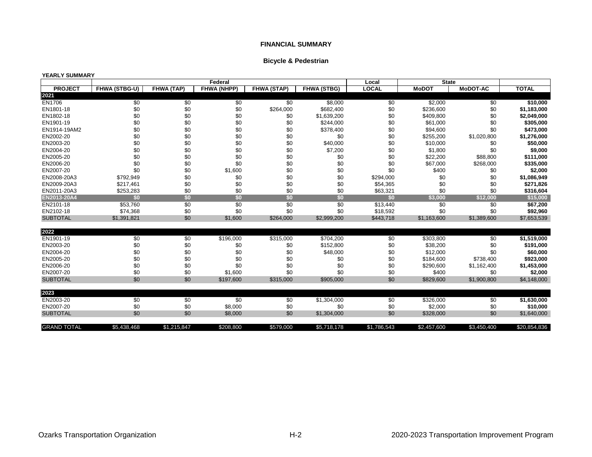## **Bicycle & Pedestrian**

### **YEARLY SUMMARY**

|                    |               |             | Federal            |                    |                    | Local        | <b>State</b> |                 |              |
|--------------------|---------------|-------------|--------------------|--------------------|--------------------|--------------|--------------|-----------------|--------------|
| <b>PROJECT</b>     | FHWA (STBG-U) | FHWA (TAP)  | <b>FHWA (NHPP)</b> | <b>FHWA (STAP)</b> | <b>FHWA (STBG)</b> | <b>LOCAL</b> | <b>MoDOT</b> | <b>MoDOT-AC</b> | <b>TOTAL</b> |
| 2021               |               |             |                    |                    |                    |              |              |                 |              |
| <b>EN1706</b>      | \$0           | \$0         | \$0                | $\overline{50}$    | \$8,000            | \$0          | \$2,000      | $\overline{50}$ | \$10,000     |
| EN1801-18          | \$0           | \$0         | \$0                | \$264,000          | \$682,400          | \$0          | \$236,600    | \$0             | \$1,183,000  |
| EN1802-18          | \$0           | \$0         | \$0                | \$0                | \$1,639,200        | \$0          | \$409,800    | \$0             | \$2,049,000  |
| EN1901-19          | \$0           | \$0         | \$0                | \$0                | \$244,000          | \$0          | \$61,000     | \$0             | \$305,000    |
| EN1914-19AM2       | \$0           | \$0         | \$0                | \$0                | \$378,400          | \$0          | \$94,600     | \$0             | \$473,000    |
| EN2002-20          | \$0           | \$0         | \$0                | \$0                | \$0                | \$0          | \$255,200    | \$1,020,800     | \$1,276,000  |
| EN2003-20          | \$0           | \$0         | \$0                | \$0                | \$40,000           | \$0          | \$10,000     | \$0             | \$50,000     |
| EN2004-20          | \$0           | \$0         | \$0                | \$0                | \$7,200            | \$0          | \$1,800      | \$0             | \$9,000      |
| EN2005-20          | \$0           | \$0         | \$0                | \$0                | \$0                | \$0          | \$22,200     | \$88,800        | \$111,000    |
| EN2006-20          | \$0           | \$0         | \$0                | \$0                | \$0                | \$0          | \$67,000     | \$268,000       | \$335,000    |
| EN2007-20          | \$0           | \$0         | \$1,600            | \$0                | \$0                | \$0          | \$400        | \$0             | \$2,000      |
| EN2008-20A3        | \$792,949     | \$0         | \$0                | \$0                | \$0                | \$294,000    | \$0          | \$0             | \$1,086,949  |
| EN2009-20A3        | \$217,461     | \$0         | \$0                | \$0                | \$0                | \$54,365     | \$0          | \$0             | \$271,826    |
| EN2011-20A3        | \$253,283     | \$0         | \$0                | \$0                | \$0                | \$63,321     | \$0          | \$0             | \$316,604    |
| EN2013-20A4        | \$0           | \$0         | \$0                | \$0                | \$0                | \$0          | \$3,000      | \$12,000        | \$15,000     |
| EN2101-18          | \$53,760      | \$0         | \$0                | \$0                | \$0                | \$13,440     | \$0          | \$0             | \$67,200     |
| EN2102-18          | \$74,368      | \$0         | \$0                | \$0                | \$0                | \$18,592     | \$0          | \$0             | \$92,960     |
| <b>SUBTOTAL</b>    | \$1,391,821   | \$0         | \$1,600            | \$264,000          | \$2,999,200        | \$443,718    | \$1,163,600  | \$1,389,600     | \$7,653,539  |
|                    |               |             |                    |                    |                    |              |              |                 |              |
| 2022               |               |             |                    |                    |                    |              |              |                 |              |
| EN1901-19          | \$0           | \$0         | \$196,000          | \$315,000          | \$704,200          | \$0          | \$303,800    | \$0             | \$1,519,000  |
| EN2003-20          | \$0           | \$0         | \$0                | \$0                | \$152,800          | \$0          | \$38,200     | \$0             | \$191,000    |
| EN2004-20          | \$0           | \$0         | \$0                | \$0                | \$48,000           | \$0          | \$12,000     | \$0             | \$60,000     |
| EN2005-20          | \$0           | \$0         | \$0                | \$0                | \$0                | \$0          | \$184,600    | \$738,400       | \$923,000    |
| EN2006-20          | \$0           | \$0         | \$0                | \$0                | \$0                | \$0          | \$290,600    | \$1,162,400     | \$1,453,000  |
| EN2007-20          | \$0           | \$0         | \$1,600            | \$0                | \$0                | \$0          | \$400        | \$0             | \$2,000      |
| <b>SUBTOTAL</b>    | \$0           | \$0         | \$197,600          | \$315,000          | \$905,000          | \$0          | \$829,600    | \$1,900,800     | \$4,148,000  |
|                    |               |             |                    |                    |                    |              |              |                 |              |
| 2023               |               |             |                    |                    |                    |              |              |                 |              |
| EN2003-20          | \$0           | \$0         | \$0                | \$0                | \$1,304,000        | \$0          | \$326,000    | \$0             | \$1,630,000  |
| EN2007-20          | \$0           | \$0         | \$8,000            | \$0                | \$0                | \$0          | \$2,000      | \$0             | \$10,000     |
| <b>SUBTOTAL</b>    | \$0           | \$0         | \$8,000            | \$0                | \$1,304,000        | \$0          | \$328,000    | \$0             | \$1,640,000  |
| <b>GRAND TOTAL</b> | \$5,438,468   | \$1,215,847 | \$208,800          | \$579,000          | \$5,718,178        | \$1,786,543  | \$2,457,600  | \$3,450,400     | \$20,854,836 |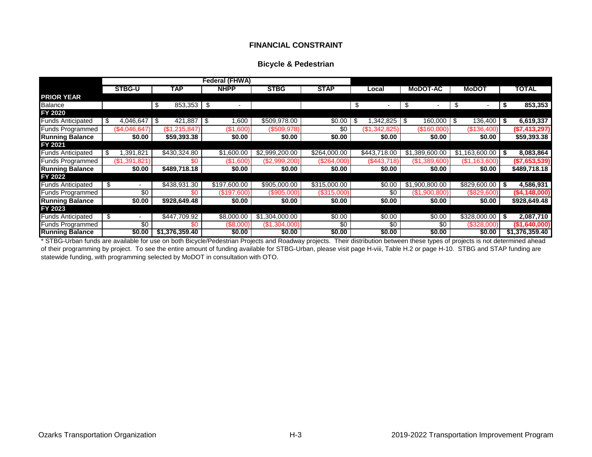## **FINANCIAL CONSTRAINT**

### **Bicycle & Pedestrian**

|                          |                 |     |                |            | Federal (FHWA) |                |              |                |      |                 |                      |                |
|--------------------------|-----------------|-----|----------------|------------|----------------|----------------|--------------|----------------|------|-----------------|----------------------|----------------|
|                          | <b>STBG-U</b>   |     | <b>TAP</b>     |            | <b>NHPP</b>    | <b>STBG</b>    | <b>STAP</b>  | Local          |      | <b>MoDOT-AC</b> | <b>MoDOT</b>         | <b>TOTAL</b>   |
| <b>PRIOR YEAR</b>        |                 |     |                |            |                |                |              |                |      |                 |                      |                |
| Balance                  |                 | \$  | $853,353$ \$   |            |                |                |              | \$             | \$   |                 | \$                   | 853,353        |
| FY 2020                  |                 |     |                |            |                |                |              |                |      |                 |                      |                |
| <b>Funds Anticipated</b> | 4,046,647       | -\$ | 421,887        | $\sqrt{3}$ | .600           | \$509,978.00   | \$0.00       | \$<br>,342,825 | l \$ | $160,000$ \$    | 136,400 \$           | 6,619,337      |
| <b>Funds Programmed</b>  | (\$4,046,647)   |     | (\$1,215,847   |            | (\$1,600)      | (\$509,978)    | \$0          | (\$1,342,825)  |      | (\$160,000)     | (\$136,400)          | (\$7,413,297)  |
| <b>Running Balance</b>   | \$0.00          |     | \$59,393.38    |            | \$0.00         | \$0.00         | \$0.00       | \$0.00         |      | \$0.00          | \$0.00               | \$59,393.38    |
| FY 2021                  |                 |     |                |            |                |                |              |                |      |                 |                      |                |
| <b>Funds Anticipated</b> | \$<br>1,391,821 |     | \$430,324.80   |            | \$1,600.00     | \$2,999,200.00 | \$264,000.00 | \$443,718.00   |      | \$1,389,600.00  | $$1,163,600.00$ \ \$ | 8,083,864      |
| <b>Funds Programmed</b>  | (\$1,391,821    |     | \$በ            |            | $($ \$1,600)   | (\$2,999,200)  | (\$264,000)  | (S443,718)     |      | (\$1,389,600)   | (\$1,163,600)        | (\$7,653,539)  |
| <b>Running Balance</b>   | \$0.00          |     | \$489,718.18   |            | \$0.00         | \$0.00         | \$0.00       | \$0.00         |      | \$0.00          | \$0.00               | \$489,718.18   |
| FY 2022                  |                 |     |                |            |                |                |              |                |      |                 |                      |                |
| <b>Funds Anticipated</b> | \$              |     | \$438,931.30   |            | \$197,600.00   | \$905,000.00   | \$315,000.00 | \$0.00         |      | \$1,900,800.00  | $$829,600.00$ \$     | 4,586,931      |
| <b>Funds Programmed</b>  | \$0             |     | \$0            |            | (\$197,600)    | (\$905,000)    | (\$315,000)  | \$0            |      | (S1,900,800)    | (\$829,600)          | (\$4,148,000)  |
| <b>Running Balance</b>   | \$0.00          |     | \$928,649.48   |            | \$0.00         | \$0.00         | \$0.00       | \$0.00         |      | \$0.00          | \$0.00               | \$928,649.48   |
| FY 2023                  |                 |     |                |            |                |                |              |                |      |                 |                      |                |
| <b>Funds Anticipated</b> | \$              |     | \$447,709.92   |            | \$8,000.00     | \$1,304,000.00 | \$0.00       | \$0.00         |      | \$0.00          | $$328,000.00$ \$     | 2,087,710      |
| Funds Programmed         | \$0             |     | \$0            |            | (\$8,000)      | (\$1,304,000)  | \$0          | \$0            |      | \$0             | (\$328,000)          | (\$1,640,000)  |
| <b>Running Balance</b>   | \$0.00          |     | \$1,376,359.40 |            | \$0.00         | \$0.00         | \$0.00       | \$0.00         |      | \$0.00          | \$0.00               | \$1,376,359.40 |

\* STBG-Urban funds are available for use on both Bicycle/Pedestrian Projects and Roadway projects. Their distribution between these types of projects is not determined ahead of their programming by project. To see the entire amount of funding available for STBG-Urban, please visit page H-viii, Table H.2 or page H-10. STBG and STAP funding are statewide funding, with programming selected by MoDOT in consultation with OTO.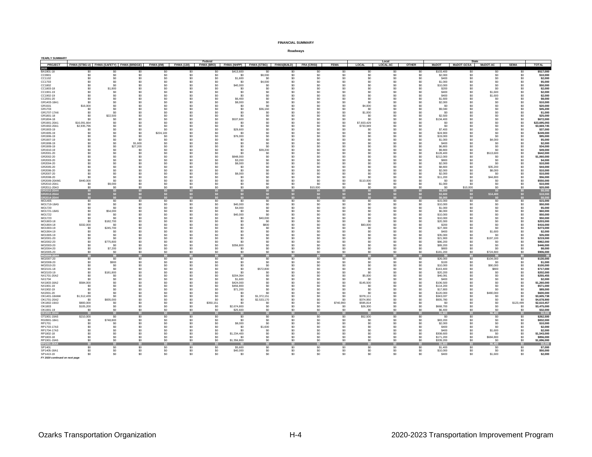| <b>YEARLY SUMMARY</b>          |                             |                  |                                                                         |                                |                                  | Federal                |                                                             |                 |                 |                 |                   |                           | Local                 |                                  |                        | <b>State</b>    |                     |                   |                             |
|--------------------------------|-----------------------------|------------------|-------------------------------------------------------------------------|--------------------------------|----------------------------------|------------------------|-------------------------------------------------------------|-----------------|-----------------|-----------------|-------------------|---------------------------|-----------------------|----------------------------------|------------------------|-----------------|---------------------|-------------------|-----------------------------|
|                                |                             |                  | PROJECT FHWA (STBG-U) FHWA (SAFETY) FHWA (BRIDGE) FHWA (I/M) FHWA (130) |                                |                                  |                        | FHWA (BRO) FHWA (NHPP) FHWA (STBG) FHWA (BUILD) FRA (CRISI) |                 |                 |                 | <b>FEMA</b>       | LOCAL                     | LOCAL-AC              | <b>OTHER</b>                     | <b>MoDOT</b>           |                 | MoDOT-GCSA MoDOT-AC | <b>SEMA</b>       | <b>TOTAL</b>                |
| 2020<br>BA1801-18              | \$0                         | so.              | \$0                                                                     | S <sub>0</sub>                 | \$0                              | \$0                    | \$413,600                                                   | \$0             | \$0             | \$0             | \$0               | S <sub>0</sub>            | SO.                   | S <sub>0</sub>                   | \$103,400              | \$0             | \$0                 | -SO               | \$517,000                   |
| CC0901                         | \$0                         | \$0              | \$0                                                                     | \$0                            | \$0                              | \$0                    | \$0                                                         | \$8,000         | \$0             | \$0             | $$0$              | \$0                       | \$0                   | \$0                              | \$2,000                | \$0             | \$0                 | \$0               | \$10,000                    |
| CC1102<br>CC1703               | \$0<br>\$0                  | \$0<br>\$0       | \$0<br>\$0                                                              | \$0<br>\$0                     | \$0<br>\$0                       | \$0<br>\$0             | \$1,600<br>\$0                                              | \$0<br>\$4,000  | \$0<br>\$0      | \$0<br>\$0      | \$0<br>\$0        | \$0<br>\$0                | \$0<br>\$0            | \$0<br>\$0                       | \$400<br>\$1,000       | \$0<br>\$0      | \$0<br>\$0          | \$0<br>\$0        | \$2,000<br>\$5,000          |
| CC1802                         | \$0                         | \$0              | \$0                                                                     | \$0                            | \$0                              | \$0                    | \$40,000                                                    | \$0             | \$0             | \$0             | \$0               | \$0                       | \$0                   | \$0                              | \$10,000               | \$0             | \$0                 | \$0               | \$50,000                    |
| CC1803-18                      | \$0                         | \$1,800          | \$0                                                                     | \$0                            | S <sub>0</sub>                   | \$0                    | -SO                                                         | -SO             | -\$0            | \$0             | \$0               | so.                       | SO.                   | S <sub>0</sub>                   | \$200                  | SO              | -SO                 | \$0               | \$2,000                     |
| CC1901-19                      | \$0                         | \$0<br>\$0       | \$0<br>\$0                                                              | \$0                            | \$0                              | \$0                    | \$0                                                         | \$0             | \$0<br>\$0      | \$0<br>\$0      | \$0               | \$0<br>\$0                | \$0                   | \$0<br>\$0                       | \$400                  | \$0<br>\$0      | \$1,600             | \$0               | \$2,000                     |
| CC1902-19<br>CC2001-20         |                             | \$0              |                                                                         | \$0<br>\$0                     | \$0<br>S <sub>0</sub>            | \$0<br>S <sub>0</sub>  | \$0<br>\$6,400                                              | \$0<br>-SO      | \$0             | \$0             | \$0<br>\$0        | so.                       | \$0<br>SO.            | S <sub>0</sub>                   | \$400<br>\$1,600       | \$0             | \$1,600<br>-SO      | \$0<br>\$0        | \$2,000<br>\$8,000          |
| GR1403-18A1                    |                             | \$0              |                                                                         | \$0                            | \$0                              | \$0                    | \$8,000                                                     | \$0             | \$0             | \$0             | \$0               | \$0                       | \$0                   | \$C                              | \$2,000                | \$C             | \$0                 | \$0               | \$10,000                    |
| GR1501                         | \$16,000                    | \$0              | \$0                                                                     | \$0                            | S <sub>0</sub>                   | \$0                    | -SO                                                         | \$0             | \$0             | \$0             | \$0               | \$4,000                   | SO                    | \$0                              | SO.                    | -SO             | \$0                 | \$0               | \$20,000                    |
| GR1703<br>GR1707-17A6          | \$0<br>\$0                  | \$0<br>\$0       | ¢۵                                                                      | S <sub>0</sub><br>\$0          | S <sub>0</sub><br>\$0            | \$0<br>\$0             | S <sub>0</sub><br>\$0                                       | \$36,160<br>\$0 | \$0<br>\$0      | \$0<br>\$0      | \$0<br>\$0        | S <sub>0</sub><br>\$1,000 | S <sub>0</sub><br>\$0 | S <sub>0</sub><br>\$ſ            | \$9,040<br>\$0         | <b>SC</b>       | \$0<br>\$0          | \$0<br>\$0        | \$45,200<br>\$1,000         |
| GR1801-18                      | -SO                         | \$22,500         | \$0                                                                     | \$0                            | \$0                              | \$0                    | \$0                                                         | \$0             | \$0             | \$0             | \$0               | \$0                       | \$0                   | \$0                              | \$2,500                | \$ſ             | \$0                 | \$0               | \$25,000                    |
| GR1804-18                      | ۹n                          | \$0              | ¢∩                                                                      | S <sub>0</sub>                 | S <sub>0</sub>                   | \$0                    | \$537,600                                                   | \$0             | \$0             | \$0             | \$0               | S0                        | S <sub>0</sub>        | S <sub>0</sub>                   | \$134,400              |                 | \$0                 | \$0               | \$672,000                   |
| GR1901-20A1<br>GR1902-20A1     | \$16,091,664<br>\$2,935,796 | \$0<br>\$0       | \$n                                                                     | \$0<br>\$0                     | \$0<br>S <sub>0</sub>            | \$0<br>\$0             | \$0<br>\$0                                                  | \$0<br>\$0      | \$0<br>\$0      | \$0<br>\$n      | \$0<br>\$0        | \$7,603,429<br>\$733,949  | \$O<br>\$0            | S <sub>0</sub>                   | \$0<br>SO.             | \$0             | \$0<br>\$0          | \$0<br>\$0        | \$23,695,093<br>\$3,669,745 |
| GR1903-19                      | \$0                         | \$0              | \$0                                                                     | \$0                            | S <sub>0</sub>                   | \$0                    | \$29,600                                                    | \$0             | \$0             |                 | \$0               | S <sub>0</sub>            | \$0                   | S <sub>0</sub>                   | \$7,400                | \$C             | \$0                 | \$0               | \$37,00                     |
| GR1905-19                      | \$0                         | \$0              | \$0                                                                     | \$224,100                      | \$0                              | \$0                    | \$0                                                         | -SO             | \$0             | \$0             | \$0               | S <sub>0</sub>            | \$0                   | \$0                              | \$24,900               | \$C             | \$0                 | \$0               | \$249,000                   |
| GR1906-19<br>GR1907-19         | \$n                         | \$0<br>\$0       | \$n<br>\$0                                                              | \$0<br>\$0                     | S <sub>0</sub><br>\$0            | \$0<br>\$0             | \$76,000<br>\$0                                             | -≈∩             | \$0<br>\$0      | \$n             | \$0<br>\$0        | S0<br>\$0                 | \$0<br>\$0            | S <sub>0</sub><br>\$C            | \$19,000<br>\$1,000    | \$0<br>\$0      | \$0<br>\$4,000      | \$0<br>\$0        | \$95,000<br>\$5,000         |
| GR1908-19                      | \$0                         | \$0              | \$1,600                                                                 | \$0                            | \$0                              | \$0                    | \$0                                                         | \$0             | \$0             | \$0             | \$0               | \$0                       | \$0                   | \$0                              | \$400                  | \$0             | \$0                 | \$0               | \$2,000                     |
| GR1909-19                      |                             | \$0              | \$27,200                                                                | \$0                            | S0                               | \$0                    | \$0                                                         | \$0             | \$0             | \$0             | \$0               | S <sub>0</sub>            | \$0                   | \$C                              | \$6,800                | \$C             | \$0                 | \$0               | \$34,000                    |
| GR1910-19                      | \$0                         | \$0              | \$0                                                                     | \$0                            | \$0                              | \$0                    | \$0                                                         | \$39,200        | \$0             | \$0             | \$0               | S <sub>0</sub>            | \$0                   | \$0                              | \$9,800                | \$0             | \$0                 | \$0               | \$49,000                    |
| GR2001-20<br>GR2002-20         | \$0                         | \$0<br>\$0       | \$0<br>\$0                                                              | \$0<br>\$0                     | S <sub>0</sub><br>S0             | \$0<br>\$0             | \$0<br>\$848,000                                            | \$0<br>\$0      | \$0<br>\$0      | \$0             | \$0<br>\$0        | S0<br>\$0                 | \$0<br>\$0            | S <sub>0</sub><br>\$0            | \$128,400<br>\$212,000 | \$0<br>\$C      | \$513,600<br>\$0    | \$0<br>\$0        | \$642,000<br>\$1,060,000    |
| GR2003-20                      |                             | \$0              | \$0                                                                     | \$0                            | \$0                              | \$0                    | \$3,200                                                     | \$0             | \$0             | \$0             | \$0               | S0                        | \$0                   | \$0                              | \$800                  | \$0             | \$0                 | \$0               | \$4,000                     |
| GR2004-20                      |                             | \$0              | ¢۵                                                                      | \$0                            | S <sub>0</sub>                   | \$0                    | \$8,000                                                     | \$0             | \$0             | \$0             | \$0               | S0                        | \$0                   | S <sub>0</sub>                   | \$2,000                | \$0             | \$0                 | \$0               | \$10,000                    |
| GR2005-20                      |                             | \$0              |                                                                         | \$0                            | S0                               | \$0                    | SO                                                          | \$0             | \$0             | \$0             | \$0               | \$0                       | \$0<br>\$0            | \$ſ                              | \$8,800                | \$0             | \$35,200            | \$0               | \$44,000                    |
| GR2006-20<br>GR2007-20         |                             | \$0<br>\$0       | ¢∩                                                                      | so.<br>\$0                     | S <sub>0</sub><br>\$0            | \$0<br>\$0             | \$0<br>\$8,000                                              | \$0<br>\$0      | \$0<br>\$0      | \$0<br>\$C      | \$0<br>\$0        | so.<br>S <sub>0</sub>     | \$0                   | S <sub>0</sub><br>\$0            | \$2,000<br>\$2,000     | SO<br>\$0       | \$8,000<br>\$ſ      | \$0<br>\$0        | \$10,000<br>\$10,000        |
| GR2008-20                      |                             | \$0              |                                                                         | \$0                            | \$0                              | \$0                    | \$0                                                         | \$0             | \$0             |                 | \$0               | \$0                       | \$0                   | \$ſ                              | \$11,200               | \$C             | \$44,800            | \$0               | \$56,000                    |
| GR2009-20AM1                   | \$440,000                   | \$0              | \$0                                                                     | \$0                            | \$0                              | SO                     | \$0                                                         | -SO             | \$0             | \$0             | \$0               | \$110,000                 | \$0                   | \$0                              | SO.                    | -SO             | -SO                 | \$0               | \$550,000                   |
| GR2010-20A1<br>GR2011-20A3     | \$0<br>\$0                  | \$9,000<br>\$0   | \$0<br>\$0                                                              | S <sub>0</sub><br>\$0          | S <sub>0</sub><br>\$0            | \$0<br>\$0             | \$0<br>\$0                                                  | \$0<br>\$0      | \$0<br>\$0      | \$0<br>\$10,000 | \$0<br>\$0        | S <sub>0</sub><br>\$0     | S <sub>0</sub><br>SO  | \$0<br>$\mathbf{S}$              | \$1,000<br>\$0         | \$0<br>\$10,000 | \$0<br>\$0          | \$0<br>\$0        | \$10,000<br>\$20,000        |
| GR2012-20A4                    |                             |                  |                                                                         | \$0                            |                                  | \$0                    |                                                             |                 | \$0             |                 | \$0               |                           | S <sub>0</sub>        |                                  |                        |                 |                     |                   | \$8,000                     |
| GR2013-20A4<br>GR2014-20A4     |                             | $\frac{$0}{$0}$  |                                                                         |                                |                                  |                        |                                                             |                 |                 |                 |                   |                           |                       |                                  | \$8,000<br>\$3,600     |                 | \$14,400            |                   | \$18,00                     |
|                                | \$0                         | \$0              | SO <sub>2</sub>                                                         | SO <sub>2</sub>                | \$0                              | SO <sub>2</sub>        | 50                                                          | \$0             | \$0             | \$0             | \$0               | SO <sub>2</sub>           | \$0                   |                                  | \$8,000                | \$0             |                     | \$0               | \$8,000                     |
| MO1405<br>MO1719-18A5          | \$0<br>\$0                  | \$0<br>\$0       | \$0<br>\$0                                                              | \$0<br>\$0                     | \$0<br>\$0                       | \$0<br>\$0             | \$0<br>\$40,000                                             | \$0<br>\$0      | \$0<br>\$0      | \$0<br>\$0      | \$0<br>\$0        | S <sub>0</sub><br>\$0     | S <sub>0</sub><br>\$0 | \$0<br>\$0                       | \$15,000<br>\$10,000   | \$0<br>\$0      | \$0<br>\$0          | \$0<br>\$0        | \$15,000<br>\$50,000        |
| MO1720                         | \$0                         | \$0              | \$0                                                                     | \$0                            | \$0                              | SO                     | \$4,000                                                     | \$0             | \$0             | \$0             | \$0               | S0                        | \$0                   | \$0                              | \$1,000                | \$0             | \$0                 | \$0               | \$5,000                     |
| MO1721-18A5                    | \$0                         | \$54,000         | \$0                                                                     | \$0                            | \$0                              | \$0                    | \$0                                                         | \$0             | \$0             | \$0             | \$0               | S <sub>0</sub>            | \$0                   | \$0                              | \$6,000                |                 | \$0                 | \$0               | \$60,000                    |
| MO1722<br>MO1723               | \$0<br>\$n                  | \$0<br>\$n       | \$0<br>\$n                                                              | \$0<br>\$0                     | \$0<br>S <sub>0</sub>            | \$0<br>\$0             | \$40,000<br>\$0                                             | \$0<br>\$40,000 | \$0<br>\$0      | \$0<br>\$n      | \$0<br>\$0        | \$0<br>Sn                 | \$0<br>SO.            | \$0<br>S <sub>0</sub>            | \$10,000<br>\$10,000   | \$0<br>\$0      | \$0<br>\$0          | \$0<br>\$0        | \$50,000<br>\$50,000        |
| MO1803-18                      | \$0                         | \$182,700        | \$0                                                                     | \$0                            | \$0                              | \$0                    | \$0                                                         | SO              | \$0             | \$0             | \$0               | \$0                       | \$0                   | S <sub>0</sub>                   | \$20,300               | \$C             | \$0                 | \$0               | \$203,000                   |
| MO1804-18                      | \$332,000                   | \$0              | \$0                                                                     | \$0                            | \$0                              | \$0                    | \$0                                                         | \$800           | \$0             | \$0             | \$0               | \$83,000                  | \$0                   | \$0                              | \$200                  | SO              | \$0                 | \$0               | \$416,000                   |
| MO1903-19                      | \$0                         | \$245,700        | \$0                                                                     | \$0                            | S <sub>0</sub><br>S0             | S <sub>0</sub>         | \$0                                                         | \$0             | \$0             | \$0             | \$0               | \$0<br>\$0                | SO.<br>\$0            | S <sub>0</sub>                   | \$27,300               | SO              | \$0                 | \$0               | \$273,000                   |
| MO1904-19<br>MO1905-19         | \$0<br>\$0                  | \$0<br>\$0       | \$0                                                                     | \$0<br>\$0                     | S <sub>0</sub>                   | \$0<br>\$0             | \$0<br>\$0                                                  | \$0<br>\$0      | \$0<br>\$0      | \$0<br>\$0      | \$0<br>\$0        | S0                        | SO.                   | \$0<br>\$0                       | \$400<br>\$35,000      | \$0<br>SO       | \$1,600<br>\$0      | \$0<br>\$0        | \$2,000<br>\$35,000         |
| MO2001-20                      | \$0                         | \$0              | \$0                                                                     | \$0                            | \$0                              | \$0                    | \$0                                                         | \$0             | \$0             |                 | \$0               | \$0                       | \$0                   | \$0                              | \$21,900               | \$0             | \$197,100           | \$0               | \$219,000                   |
| MO2002-20                      | \$0                         | \$775,800        | \$0                                                                     | \$0                            | \$0                              | \$0                    | \$0                                                         | \$0             | \$0             | \$0             | \$0               | \$0                       | \$0                   | \$0                              | \$86,200               | \$0             | \$0                 | \$0               | \$862,000                   |
| MO2003-20<br>MO2004-20         | \$0<br>\$0                  | -SO<br>\$7,200   | so.<br>\$0                                                              | \$0<br>\$0                     | \$0<br>\$0                       | \$0<br>\$0             | \$356,800<br>\$0                                            | -SO<br>\$0      | \$0<br>\$0      | \$0<br>\$0      | -SO<br>\$0        | \$0<br>\$0                | \$0<br>\$0            | S <sub>0</sub><br>\$0            | \$89,200<br>\$800      | \$0<br>\$0      | -SO<br>\$0          | \$0<br>\$0        | \$446,000<br>\$8,000        |
| MO2005-20                      | \$0                         | \$0              | \$0                                                                     | \$0                            | SO                               | \$0                    | \$0                                                         | \$0             | \$0             | \$0             | \$0               | \$0                       | SO                    | \$0                              | \$181,200              | \$0             | \$724,800           | \$0               | \$906,000                   |
| MO2006-20A                     | \$0\$                       | \$0              | -60                                                                     | \$0                            | \$0                              | \$0                    | $\frac{60}{20}$                                             | se.             | \$0             | \$0\$           | \$0               | se.                       | \$0                   | \$0                              | $$^{6}$                | \$0             |                     | $\bullet$         | - 80                        |
| MO2007-20<br>MO2008-20         | \$0<br>\$0                  | \$0<br>\$900     | $\overline{50}$<br>\$0                                                  | 50<br>\$0                      | 50<br>\$0                        | 50<br>\$0              | \$0<br>\$0                                                  | \$0<br>\$0      | \$0<br>\$0      | \$0<br>\$0      | \$0<br>\$0        | 50<br>\$0                 | 50<br>\$0             | 50<br>\$0                        | \$26,000<br>\$100      | \$0<br>\$0      | \$104,000<br>ടറ     | \$0<br>\$0        | \$130,000<br>\$1,000        |
| MO2010-20                      | \$0                         | \$0              | \$0                                                                     | S <sub>0</sub>                 | S <sub>0</sub>                   | \$0                    | \$0                                                         | \$0             | \$0             | \$0             | \$0               | S <sub>0</sub>            | S <sub>0</sub>        | \$0                              | \$10,000               | \$0             | \$90,000            | \$0               | \$100,000                   |
| MO2101-18                      | \$0                         | \$0              | \$0                                                                     | \$0                            | \$0                              | \$0                    | \$0                                                         | \$572,800       | \$0             | \$0             | \$0               | \$0                       | \$0                   | \$0                              | \$143,400              | \$0             | \$800               | \$0               | \$717,000                   |
| MO2103-19                      | -SO                         | \$181,800        | \$0<br>\$0                                                              | SO.<br>\$0                     | \$0                              | \$0                    | \$0                                                         | -SO             | \$0             | \$0             | \$0               | S0                        | SO<br>\$0             | \$0                              | \$20,200               | \$0             | \$0                 | \$0               | \$202,000                   |
| NX1701-20A2<br>NX1704          | \$0                         | \$0<br>\$0       | \$0                                                                     | \$0                            | \$0<br>S <sub>0</sub>            | \$0<br>SO              | \$204,364<br>\$1,600                                        | \$0             | \$0<br>\$0      | \$0<br>\$0      | \$0<br>\$0        | \$5,000<br>\$0            | SO                    | S <sub>0</sub><br>S <sub>0</sub> | \$46,091<br>\$400      | S0              | \$0<br>\$0          | \$0<br>\$0        | \$255,455<br>\$2,000        |
| NX1803-18A2                    | \$584,000                   | \$0              | ¢۵                                                                      | S <sub>0</sub>                 | S <sub>0</sub>                   | \$0                    | \$424,000                                                   | \$0             | \$0             | \$n             | \$0               | \$145,500                 | S <sub>0</sub>        | S <sub>0</sub>                   | \$106,500              | \$0             | \$0                 | \$0               | \$1,260,000                 |
| NX1901-19                      | \$0                         | \$0              |                                                                         | \$0                            | \$0                              | \$0                    | \$456,800                                                   |                 | \$0             |                 | \$0               | S <sub>0</sub>            | \$0                   | S <sub>0</sub>                   | \$114,200              | \$C             | \$C                 | \$0               | \$571,000                   |
| NX1902-19<br>NX2001-20         | \$0<br>\$n                  | \$0<br>\$0       |                                                                         | \$0<br>\$0                     | S <sub>0</sub><br>S <sub>0</sub> | S <sub>0</sub><br>\$0  | \$71,200<br>SO                                              | \$0             | \$0<br>\$0      | \$0<br>\$n      | \$0<br>\$0        | \$0<br>SO.                | \$0<br>SO.            | \$0<br>S <sub>0</sub>            | \$17,800<br>\$120,000  | \$0<br>SO       | \$0<br>\$480,000    | \$0<br>\$0        | \$89,000<br>\$600,000       |
| OK1401-18AM4                   | \$1,512,439                 | \$0              | \$0                                                                     | \$0                            | S <sub>0</sub>                   | \$0                    | S <sub>0</sub>                                              | \$1,372,151     | \$0             | \$0             | \$0               | \$378,111                 | \$0                   | \$0                              | \$343,037              | <b>SC</b>       | \$0                 | \$0               | \$3,605,738                 |
| OK1701-20A2                    | \$0                         | \$835,000        | \$0                                                                     | \$0                            | S <sub>0</sub>                   | S <sub>0</sub>         | \$0                                                         | \$2,533,170     | \$0             | \$0             | \$0               | \$374.950                 | \$0                   | \$0                              | \$935,780              | \$0             | \$0                 | \$0               | \$4,678,900                 |
| OK1802-19A3                    | \$800,000                   | \$0              | \$0                                                                     | \$0<br>\$0                     | \$0                              | \$350,151              | \$0                                                         | \$0             | \$0             | \$0             | \$740,993         | \$595,814                 | \$0                   | \$0                              | \$0                    | \$0             | \$0                 | \$123,499         | \$2,610,45                  |
| OK1803<br>OK1901-19            | \$105,200<br>\$0            | \$0<br>\$0       | \$0<br>\$0                                                              | \$0                            | \$0<br>SO                        | \$0<br>$\ddot{s}$      | \$2,674,800<br>\$25,600                                     | \$0<br>\$0      | \$0<br>\$0      | \$0<br>\$0      | \$0<br>$\ddot{s}$ | \$26,300<br>\$0           | \$0<br>SO             | \$0<br>S <sub>0</sub>            | \$668,700<br>\$6,400   | \$0<br>\$0      | \$0<br>\$0          | \$0<br>\$0        | \$3,475,000<br>\$32,000     |
| OK2001-20A                     | SO <sub>2</sub>             | \$0              | \$0                                                                     | \$0                            | \$0                              | \$0                    | \$0                                                         | \$0             | \$0             | \$0             | \$0               | SO                        | \$0                   |                                  | \$1,600                | \$0             | 6,400               | \$0               | \$8,00                      |
| OT1901-19A5                    | \$210,000                   | \$0              | SO.                                                                     | S <sub>0</sub>                 | S <sub>0</sub>                   | S <sub>0</sub>         | -SO                                                         | S <sub>0</sub>  | \$0             | SO.             | \$0               | \$52,500                  | SO.                   | S <sub>0</sub>                   | -50                    | -SO             | S <sub>0</sub>      | \$0               | \$262,500                   |
| RG0901-18A1<br>RP1701          | \$0<br>\$0                  | \$748,800<br>\$0 | \$0<br>\$0                                                              | \$0<br>\$0\$                   | S <sub>0</sub><br>\$0            | \$0<br>\$0             | \$0<br>\$8,000                                              | \$0<br>\$0      | \$0<br>\$0      | \$0<br>\$0      | \$0<br>\$0        | \$0<br>\$0                | \$0<br>\$0            | \$0<br>\$0                       | \$83,200<br>\$2,000    | \$0<br>\$0      | \$0<br>\$0          | \$0<br>\$0        | \$832,000<br>\$10,000       |
| RP1703-17A3                    | \$0                         | \$0              | \$n                                                                     | \$0                            | S <sub>0</sub>                   | \$0                    | S <sub>0</sub>                                              | \$1,600         | \$0             | \$0             | \$0               | so.                       | \$0                   | \$0                              | S400                   | SO              | -SO                 | \$0               | \$2,000                     |
| RP1704-17A3                    | \$0                         | \$0              | \$0                                                                     | \$0                            | \$0                              | \$0                    | \$0                                                         | \$0             | \$0             | \$0             | \$0               | \$0                       | \$0                   | \$0                              | \$400                  | \$0             | \$1,600             | \$0               | \$2,000                     |
| RP1802-18                      | \$0                         | \$0              | \$0                                                                     | \$0                            | \$0                              | \$0                    | \$1,234,400                                                 | \$0             | \$0             | \$0             | \$0               | \$0                       | \$0                   | \$0                              | \$308,600              | \$0             | \$0                 | \$0               | \$1,543,000                 |
| RP1803-18<br>RP1901-19A5       | \$0<br>\$0                  | \$0<br>\$0       | \$0<br>\$0                                                              | \$0<br>\$0                     | S <sub>0</sub><br>S <sub>0</sub> | \$0<br>\$0             | \$0<br>\$1,356,800                                          | \$0<br>\$0      | \$0<br>\$0      | \$0<br>\$0      | \$0<br>\$0        | S <sub>0</sub><br>\$0     | \$0<br>\$0            | \$0<br>\$0                       | \$171,200<br>\$339,200 | \$0<br>\$0      | \$684,800<br>\$0    | \$0<br>\$0        | \$856,000<br>\$1,696,000    |
| RP2001-20A                     | 50                          | \$0              | SO <sub>2</sub>                                                         | SO <sub>2</sub>                | SO <sub>2</sub>                  | SO <sub>2</sub>        | - 50                                                        | SO <sub>2</sub> | SO <sub>2</sub> | <b>SO</b>       | \$0               | SO <sub>2</sub>           | SO <sub>2</sub>       | - 50                             | \$1,600                | \$0             | 004.33              | \$0               | \$8,000                     |
| SP1401                         | \$0                         | \$0              | \$0                                                                     | \$0                            | S <sub>0</sub>                   | \$0                    | \$5,600                                                     | \$0             | \$0             | \$0             | \$0               | \$0                       | \$0                   | \$0                              | \$1,400                | \$0             | \$0                 | \$0               | \$7,000                     |
| SP1405-18A1<br>SP1413-19       | \$0<br>\$0                  | \$0<br>\$0       | \$0<br>\$0                                                              | \$0<br>$\ddot{s}$ <sup>0</sup> | \$0<br>SO                        | \$0<br>$\overline{50}$ | \$40,000<br>-SO                                             | \$0<br>\$0      | \$0<br>\$0      | \$0<br>\$0      | \$0<br>\$0        | \$0<br>SO                 | \$0<br>SO             | \$0<br>$\ddot{s}$                | \$10,000<br>\$400      | \$0<br>\$0      | \$0<br>\$1,600      | \$0<br>$\ddot{s}$ | \$50,000<br>\$2,000         |
| FY 2020 continued on next page |                             |                  |                                                                         |                                |                                  |                        |                                                             |                 |                 |                 |                   |                           |                       |                                  |                        |                 |                     |                   |                             |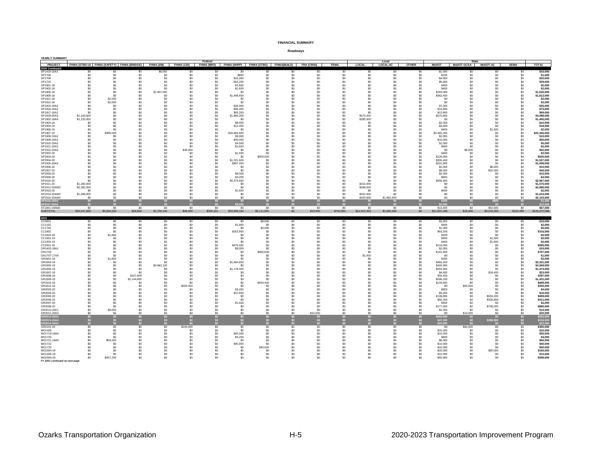| YEARLY SUMMARY                              |                                                      |                                               |             |                                  |                             |                       |                                                  |                                         |            |                 |                   |                                  |                     |                                               |                        |                              |                  |                          |                            |
|---------------------------------------------|------------------------------------------------------|-----------------------------------------------|-------------|----------------------------------|-----------------------------|-----------------------|--------------------------------------------------|-----------------------------------------|------------|-----------------|-------------------|----------------------------------|---------------------|-----------------------------------------------|------------------------|------------------------------|------------------|--------------------------|----------------------------|
| <b>PROJECT</b>                              | FHWA (STBG-U) FHWA (SAFETY) FHWA (BRIDGE) FHWA (I/M) |                                               |             |                                  | FHWA (130)                  | Federal<br>FHWA (BRO) | FHWA (NHPP) FHWA (STBG) FHWA (BUILD) FRA (CRISI) |                                         |            |                 | <b>FEMA</b>       | <b>LOCAL</b>                     | Local<br>LOCAL-AC   | <b>OTHER</b>                                  | <b>MoDOT</b>           | State<br>MoDOT-GCSA MoDOT-AC |                  | <b>SEMA</b>              | <b>TOTAL</b>               |
| 2020 Continue                               |                                                      |                                               |             |                                  |                             |                       |                                                  |                                         |            |                 |                   |                                  |                     |                                               |                        |                              |                  |                          |                            |
| SP1419-18A1                                 | \$0                                                  |                                               |             | \$9,000                          | S0                          |                       | SO                                               | \$0                                     | \$0        | \$0             | \$0               | \$0                              | S0                  | \$0                                           | \$1,000                | \$0                          | \$0              | \$0                      | \$10,000                   |
| SP1708                                      | \$0                                                  | \$0                                           | \$0         | \$0                              | \$0                         | \$0                   | \$800                                            | \$0                                     | \$0        | \$0             | \$0               | \$0                              | \$0                 | S <sub>0</sub>                                | \$200                  | \$0                          | \$0              | \$0                      | \$1,000                    |
| SP1709<br>SP1710                            | \$0<br>\$0                                           | \$0<br>\$0                                    | \$0<br>\$0  | S <sub>0</sub><br>\$0            | \$0<br>\$0                  | \$0<br>\$0            | \$16,000<br>\$23,200                             | \$0<br>\$0                              | \$0<br>\$0 | \$0<br>\$0      | \$0<br>\$0        | S <sub>0</sub><br>\$0            | SO<br>\$0           | S <sub>0</sub><br>\$0                         | \$4,000<br>\$5,800     | \$0<br>\$0                   | \$0<br>\$0       | \$0<br>\$0               | \$20,000<br>\$29,000       |
| SP1801-18                                   | SO.                                                  | \$0                                           | \$0         | \$0                              | \$0                         | \$0                   | \$1,600                                          | \$0                                     | \$0        | \$0             | \$0               | \$0                              | \$0                 | S <sub>0</sub>                                | \$400                  | \$0                          | \$0              | \$0                      | \$2,000                    |
| SP1802-18                                   | \$0                                                  | \$0                                           | \$0         | \$0                              | S <sub>0</sub>              | \$0                   | \$1,600                                          | \$0                                     | \$0        | \$0             | \$0               | \$0                              | S <sub>0</sub>      | \$0                                           | \$400                  | \$0                          | \$0              | \$0                      | \$2,000                    |
| SP1805-18                                   | \$0                                                  | \$0                                           | \$0         | \$1,467,000                      | \$0                         | \$0                   | \$0                                              | \$0                                     | \$0        | \$0             | \$0               | S <sub>0</sub>                   | \$0                 | \$0                                           | \$163,000              | \$0                          | \$0              | \$0                      | \$1,630,000                |
| SP1809-18                                   | \$0                                                  | \$0                                           | \$0         | \$0                              | \$0                         | \$0                   | \$1,449,600                                      | \$0                                     | \$0        | \$0             | \$0               | S <sub>0</sub>                   | \$0                 | \$0                                           | \$362,400              | \$0                          | \$0              | \$0                      | \$1,812,000                |
| SP1811-18                                   | \$0                                                  | \$2,000                                       | \$0         | \$0                              | S <sub>0</sub>              | \$0                   | -SO                                              | \$0                                     | \$0        | \$0             | \$0<br>\$0        | \$0                              | S <sub>0</sub>      | \$0                                           | \$0                    | \$0                          | \$0              | \$0                      | \$2,000                    |
| SP1812-18<br>SP1815-18A2                    | \$0<br>\$0                                           | \$2,000<br>\$0                                | \$0<br>\$0  | \$0<br>\$0                       | \$0<br>SO                   | \$0<br>\$0            | \$0<br>\$28,000                                  | \$0<br>\$0                              | \$0<br>\$0 | \$0<br>\$0      | \$0               | S <sub>0</sub><br>\$0            | \$0<br>\$0          | \$0<br>S <sub>0</sub>                         | \$0<br>\$7,000         | \$0<br>\$0                   | \$0<br>\$0       | \$0<br>\$0               | \$2,000<br>\$35,000        |
| SP1816-18A2                                 | \$0                                                  | \$0                                           | \$0         | S <sub>0</sub>                   | S <sub>0</sub>              | \$0                   | \$58,400                                         | \$0                                     | \$0        | \$0             | \$0               | \$0                              | \$0                 | \$0                                           | \$14,600               | \$0                          | \$0              | \$0                      | \$73,000                   |
| SP1817-18A2                                 | \$0                                                  | \$0                                           | \$C         | S <sub>0</sub>                   | \$0                         | \$0                   | \$55,200                                         | \$0                                     | \$0        | \$0             | \$0               | \$C                              | S <sub>0</sub>      | \$0                                           | \$13,800               | \$0                          | \$0              | \$0                      | \$69,000                   |
| SP1818-20A3                                 | \$1,160,800                                          | \$0                                           | \$0         | \$0                              | SO                          | S <sub>0</sub>        | \$1,883.200                                      | \$0                                     | \$0        | \$0             | \$0               | \$573,200                        | SO                  | S <sub>0</sub>                                | \$470,800              | \$0                          | \$0              | \$0                      | \$4,088,000                |
| SP1902-18A4                                 | \$1,120,000                                          | \$0                                           | \$0         | \$0                              | \$0                         | \$0                   | -SO                                              | \$0                                     | \$0        | \$0             | \$0               | \$280,000                        | \$0                 | \$0                                           | \$0                    | \$0                          | \$0              | $\ddot{\$0}$             | \$1,400,000                |
| SP1903-19<br>SP1904-19                      | \$0<br>\$0                                           | \$0<br>so.                                    | \$0<br>\$0  | \$0<br>\$0                       | \$0<br>SO                   | \$0<br>\$0            | \$8,000<br>\$14,400                              | \$0<br>\$0                              | \$0<br>\$0 | \$0<br>\$0      | \$0<br>\$0        | S <sub>0</sub><br>\$0            | \$0<br>\$0          | \$0<br>\$0                                    | \$2,000<br>\$3,600     | \$0<br>\$0                   | \$0<br>\$0       | \$0<br>\$0               | \$10,000<br>\$18,000       |
| SP1906-19                                   | \$0                                                  | \$0                                           | \$0         | S <sub>0</sub>                   | S <sub>0</sub>              | \$0                   | -SO                                              | \$0                                     | \$0        | \$0             | \$0               | S <sub>0</sub>                   | S <sub>0</sub>      | \$0                                           | \$400                  | \$0                          | \$1,600          | \$0                      | \$2,000                    |
| SP1907-19                                   | \$0                                                  | \$995,000                                     | \$C         | \$0                              | \$0                         | \$0                   | \$16,865,800                                     | \$0                                     | \$0        | \$0             | \$0               | \$0                              | \$0                 | \$0                                           | \$4,465,200            | \$0                          | \$0              | \$0                      | \$22,326,000               |
| SP1908-19A2                                 | \$0                                                  | \$0                                           | \$0         | \$0                              | SO                          | S <sub>0</sub>        | \$8,000                                          | \$0                                     | \$0        | \$0             | \$0               | \$0                              | SO                  | S <sub>0</sub>                                | \$2,000                | \$0                          | \$0              | \$0                      | \$10,000                   |
| SP1909-19A2                                 | \$0                                                  | \$0                                           | \$0         | \$0                              | S <sub>0</sub>              | \$0                   | \$40,000                                         | \$0                                     | \$n        | \$0             | \$0               | \$0                              | S <sub>0</sub>      | \$0                                           | \$10,000               | \$0                          | \$n              | \$0                      | \$50,000                   |
| SP1910-19A2<br>SP1911-19A2                  | \$0<br>\$0                                           | \$0<br>\$0                                    | \$0<br>\$0  | \$0<br>\$0                       | \$0<br>\$0                  | \$0                   | \$4,000                                          | \$0<br>\$0                              | \$0<br>\$0 | \$0<br>\$0      | \$0<br>\$0        | \$0<br>\$0                       | \$0                 | \$0                                           | \$1,000                | \$0<br>\$0                   | \$0<br>\$0       | \$0<br>\$0               | \$5,000<br>\$2,000         |
| SP1912-19A5                                 | \$0                                                  | \$0                                           | \$0         | S <sub>0</sub>                   | \$46,000                    | \$0<br>\$0            | \$1,600<br>-SO                                   | \$0                                     | \$0        | \$0             | \$0               | S <sub>0</sub>                   | \$0<br>\$0          | \$0<br>\$0                                    | \$400<br>\$0           | \$6,000                      | \$0              | \$0                      | \$52,000                   |
| SP2002-20                                   | \$0                                                  | \$0                                           | \$C         | \$0                              | \$0                         | \$0                   | \$1,600                                          | \$0                                     | \$0        | \$0             | \$0               | \$0                              | \$0                 | \$0                                           | \$400                  | \$0                          | \$0              | \$0                      | \$2,000                    |
| SP2003-20                                   | \$0                                                  | \$0                                           | \$0         | \$0                              | SO                          | S <sub>0</sub>        | -SO                                              | \$504,000                               | \$0        | \$0             | \$0               | \$0                              | SO                  | S <sub>0</sub>                                | \$126,000              | \$0                          | \$0              | $\ddot{s}$               | \$630,000                  |
| SP2004-20                                   | \$n                                                  | \$0                                           | \$0         | \$0                              | S <sub>0</sub>              | \$0                   | \$1,221,600                                      | \$0                                     | \$n        | \$0             | \$0               | sn                               | S <sub>0</sub>      | \$0                                           | \$305,400              | \$0                          | \$n              | \$0                      | \$1,527,000                |
| SP2005-20A3<br>SP2006-20                    | \$C                                                  | \$0                                           | \$C         | S <sub>0</sub>                   | \$0<br>\$0                  | \$0<br>\$0            | \$807,200                                        | \$0                                     | \$0        | \$0             | \$0<br>\$0        | S <sub>0</sub>                   | \$0<br>\$0          | \$0                                           | \$201,800              | \$0                          | \$0<br>\$8,000   | \$0                      | \$1,009,000                |
| SP2007-20                                   | SO.<br>\$0                                           | S0<br>\$0                                     | \$0<br>\$0  | \$0<br>S <sub>0</sub>            | \$0                         | \$0                   | -SO<br>\$0                                       | \$0<br>\$0                              | \$0<br>\$0 | \$0<br>\$0      | \$0               | \$0<br>S <sub>0</sub>            | \$0                 | \$0<br>\$0                                    | \$2,000<br>\$8,000     | \$0<br>\$0                   | \$32,000         | \$0<br>\$0               | \$10,000<br>\$40,000       |
| SP2008-20                                   | \$0                                                  | \$0                                           | \$C         | \$0                              | \$0                         | \$0                   | \$8,000                                          | \$0                                     | \$0        | \$0             | \$0               | \$0                              | \$0                 | \$0                                           | \$2,000                | \$0                          | \$0              | \$0                      | \$10,000                   |
| SP2009-20                                   | ፍሰ                                                   | \$0                                           | \$0         | \$0                              | SO                          | \$0                   | \$3,200                                          | \$0                                     | \$0        | \$0             | \$0               | \$0                              | \$0                 | S <sub>0</sub>                                | \$800                  | \$0                          | \$0              | \$0                      | \$4,000                    |
| SP2010-20                                   |                                                      | \$0                                           | \$0         | sn.                              | S <sub>0</sub>              | \$0                   | \$2,373,600                                      | \$0                                     | \$n        | \$0             | \$0               | S.                               | S <sub>0</sub>      | S0                                            | \$593,400              | \$0                          | \$n              | \$0                      | \$2,967,000                |
| SP2011-20<br>SP2012-20AM3                   | \$1,260,000<br>\$2,392,000                           | \$0<br>\$0                                    | \$0<br>\$0  | S <sub>0</sub><br>\$0            | \$0<br>\$0                  | \$0<br>\$0            | SO<br>\$0                                        | \$0<br>\$0                              | \$0<br>\$0 | \$0<br>\$0      | \$0<br>\$0        | \$315,000<br>\$598,000           | \$0<br>\$0          | \$0                                           | \$0<br>\$0             | \$0<br>\$0                   | \$0<br>\$0       | \$0<br>\$0               | \$1,575,000<br>\$2,990,000 |
| SP2013-20                                   | \$0                                                  | \$0                                           | \$0         | S <sub>0</sub>                   | \$0                         | \$0                   | \$1,600                                          | \$0                                     | \$0        | \$0             | \$0               | -SO                              | \$0                 | \$0                                           | \$400                  | \$0                          | \$0              | \$0                      | \$2,000                    |
| SP2014-20AM3                                | \$1,288,000                                          | \$0                                           | \$0         | \$0                              | \$0                         | \$0                   | \$0                                              | \$0                                     | \$0        | \$0             | \$0               | \$322,000                        | \$0                 | S0                                            | \$0                    | \$0                          | \$0              | \$0                      | \$1,610,000                |
| SP2015-20AM4                                | \$0                                                  | \$0                                           | \$0         | \$0                              | SO                          | \$0                   | \$0                                              | \$0                                     | \$0        | \$0             | \$0               | \$420,600                        | \$1,682.400         | S <sub>0</sub>                                | \$0                    | \$0                          | \$0              | \$0                      | \$2,103,000                |
| SP2016-20A4                                 | \$0                                                  | \$0                                           | \$0         | \$0                              | \$0                         |                       | \$0                                              | \$0                                     |            | \$0             | \$0               |                                  |                     |                                               | \$2,000                | \$0                          | \$800            | \$0                      | $$1,000$<br>\$10,000       |
| SP2017-20A4                                 | \$0                                                  | \$0                                           | \$0         | \$0                              | \$0                         | \$0                   | \$8,000                                          | \$0                                     | \$0        | \$0<br>\$0      | \$0               |                                  |                     | \$0                                           |                        | \$0                          | \$0              |                          |                            |
|                                             |                                                      |                                               |             |                                  |                             |                       |                                                  |                                         |            |                 |                   |                                  |                     |                                               |                        |                              |                  |                          |                            |
| ST1901-19AM2                                | \$0                                                  | \$0                                           | \$0         | 50                               | 50                          | 50                    | \$0                                              | \$0                                     | \$0        |                 | \$0               | S <sub>0</sub>                   | 50                  | S <sub>0</sub>                                | \$13,400               | \$0                          | \$53,600         | \$0                      | \$67,000                   |
| <b>SUBTOTAL</b>                             | \$30,247,899                                         | \$4,064,200                                   | \$28,800    | \$1,700,100                      | \$46,000                    | \$350,151             | \$33,808,164                                     | \$5,111,881                             | \$0        | \$10,000        | \$740,993         | \$12,622,353                     | \$1,682,400         | \$0                                           | \$11,501,348           | \$16,000                     | \$3,018,300      | \$123,499                | \$105,072,088              |
| 2021                                        |                                                      |                                               |             |                                  |                             |                       |                                                  |                                         |            |                 |                   |                                  |                     |                                               |                        |                              |                  |                          |                            |
| CC0901                                      | \$0                                                  | \$0                                           | \$0         | \$0                              | S <sub>0</sub>              | \$0                   | -SO                                              | \$8,000                                 | \$0        | \$0             | \$0               | S <sub>0</sub>                   | S <sub>0</sub>      | \$0                                           | \$2,000                | \$0                          | \$0              | \$0                      | \$10,000                   |
| CC1102                                      | \$0                                                  | \$0                                           | \$0         | \$0                              | \$0                         | \$0                   | \$1,600                                          | \$0                                     | \$0        | \$0             | \$0               | S <sub>0</sub>                   | \$0                 | \$0                                           | \$400                  | \$0                          | \$0              | \$0                      | \$2,000                    |
| CC1703<br>CC1802                            | \$0<br>\$0                                           | \$0<br>\$0                                    | \$0<br>\$0  | \$0<br>\$0                       | \$0<br>\$0                  | \$0<br>\$0            | \$0<br>\$252,800                                 | \$4,000<br>\$0                          | \$0<br>\$0 | \$0<br>\$0      | \$0<br>\$0        | \$0<br>\$0                       | \$0<br>\$0          | \$0<br>\$0                                    | \$1,000<br>\$63,200    | \$0<br>\$0                   | \$0<br>\$0       | \$0<br>\$0               | \$5,000<br>\$316,000       |
| CC1803-18                                   | \$0                                                  | \$1,800                                       | \$0         | \$0                              | \$0                         | \$0                   | \$0                                              | \$0                                     | \$0        | \$0             | \$0               | \$0                              | \$0                 | \$0                                           | \$200                  | \$0                          | \$0              | \$0                      | \$2,000                    |
| CC1901-19                                   | \$0                                                  | \$0                                           | \$0         | \$0                              | \$0                         | \$0                   | \$0                                              | \$0                                     | \$0        | \$0             | \$0               | \$0                              | \$0                 | \$0                                           | \$400                  | \$0                          | \$1,600          | \$0                      | \$2,000                    |
| CC1902-19                                   | \$0                                                  | \$0                                           | \$0         | \$0                              | S <sub>0</sub>              | \$0                   | \$n                                              | \$0                                     | \$n        | \$0             | \$0               | \$0                              | S <sub>0</sub>      | \$0                                           | \$400                  | \$0                          | \$1,600          | \$0                      | \$2,000                    |
| CC2001-20                                   | \$0<br>\$0                                           | \$0                                           | \$C         | S <sub>0</sub><br>S <sub>0</sub> | \$0                         | \$0                   | \$476,000                                        | \$0                                     | \$0<br>\$0 | \$0             | \$0               | S <sub>0</sub>                   | \$0                 | \$0                                           | \$119,000              | \$0                          | \$0              | \$0                      | \$595,000                  |
| GR1403-18A1<br>GR1703                       | \$0                                                  | \$0<br>\$0                                    | \$0<br>\$0  | \$0                              | \$0<br>\$0                  | \$0<br>\$0            | \$8,000<br>\$0                                   | \$0<br>\$565,600                        | \$0        | \$0<br>\$0      | \$0<br>\$0        | \$0<br>\$0                       | \$0<br>\$0          | \$0<br>\$0                                    | \$2,000<br>\$141,400   | \$0<br>\$0                   | \$0<br>\$0       | \$0<br>\$0               | \$10,000<br>\$707,000      |
| GR1707-17A6                                 | \$0                                                  | \$0                                           | \$0         | \$0                              | \$0                         | S0                    | \$0                                              | \$0                                     | \$0        | \$0             | \$0               | \$1,000                          | \$0                 | \$0                                           | \$0                    | \$0                          | \$0              | \$0                      | \$1,000                    |
| GR1801-18                                   | \$0                                                  | \$1,800                                       | \$0         | \$0                              | \$0                         | S <sub>0</sub>        | \$0                                              | \$0                                     | SO.        | \$0             | \$0               | -SO                              | \$0                 | S <sub>0</sub>                                | \$200                  | \$0                          | \$0              | \$0                      | \$2,000                    |
| GR1903-19                                   | \$0                                                  | \$0                                           | \$0         | \$0                              | S <sub>0</sub>              | \$0                   | \$1,864,800                                      | \$0                                     | \$0        | \$0             | \$0               | S <sub>0</sub>                   | S <sub>0</sub>      | \$0                                           | \$466,200              | \$0                          | \$0              | \$0                      | \$2,331,000                |
| GR1905-19<br>GR1906-19                      | \$0<br>\$0                                           | \$0<br>\$0                                    | \$0<br>\$0  | \$3,842,100<br>S <sub>0</sub>    | \$0<br>SO                   | S0<br>S <sub>0</sub>  | \$0<br>\$1,178,400                               | \$0<br>\$0                              | \$0<br>\$0 | \$0<br>\$0      | \$0<br>\$0        | S <sub>0</sub><br>S <sub>0</sub> | \$O<br>SO           | \$0<br>S <sub>0</sub>                         | \$426,900<br>\$294,600 | \$0<br>\$0                   | \$0<br>\$0       | \$0<br>\$0               | \$4,269,000<br>\$1,473,000 |
| GR1907-19                                   | \$0                                                  | \$0                                           | \$0         | \$0                              | \$0                         | \$0                   | \$0                                              | \$0                                     | \$0        | \$0             | \$0               | \$0                              | \$0                 | \$0                                           | \$4,600                | \$0                          | \$18,400         | \$0                      | \$23,000                   |
| GR1908-19                                   | \$0                                                  | \$0                                           | \$237,600   | \$0                              | \$0                         | \$0                   | \$0                                              | \$0                                     | \$0        | \$0             | \$0               | \$0                              | \$0                 | \$0                                           | \$59,400               | \$0                          | \$0              | \$0                      | \$297,000                  |
| GR1909-19                                   | \$0                                                  | \$0                                           | \$1,144,800 | \$0                              | SO                          | \$0                   | \$0                                              | \$0                                     | SO.        | \$0             | \$0               | \$0                              | \$0                 | \$0                                           | \$286,200              | \$0                          | \$0              | \$0                      | \$1,431,000                |
| GR1910-19                                   | \$n                                                  | \$0                                           | \$0         | S <sub>0</sub>                   | S <sub>0</sub>              | \$0                   | \$0                                              | \$534,400                               | \$0        | \$0             | \$0               | S <sub>0</sub>                   | S <sub>0</sub>      | \$0                                           | \$133,600              | \$0                          | \$0              | \$0                      | \$668,000                  |
| GR1912-19<br>GR2003-20                      | SO.                                                  | \$0<br>\$0                                    | \$C<br>\$0  | \$0<br>\$0                       | \$200,000<br>\$0            | \$0<br>SO             | \$0<br>\$3,200                                   | \$0<br>\$0                              | \$0<br>\$0 | \$0<br>\$0      | \$0<br>\$0        | \$0<br>\$0                       | \$0<br>SO           | \$0<br>S <sub>0</sub>                         | SC<br>\$800            | \$50,000<br>\$0              | \$0<br>\$0       | \$0<br>\$0               | \$250,000<br>\$4,000       |
| GR2004-20                                   | ፍሰ                                                   | \$0                                           | \$0         | \$0                              | \$0                         | \$0                   | \$12,800                                         | \$0                                     | \$n        | \$0             | \$0               | \$0                              | \$0                 | \$0                                           | \$3,200                | \$0                          | \$n              | \$0                      | \$16,000                   |
| GR2005-20                                   | \$0                                                  | \$0                                           | \$0         | \$0                              | \$0                         | \$0                   | \$0                                              | \$0                                     | \$0        | \$0             | \$0               | \$0                              | \$0                 | \$0                                           | \$139,800              | \$0                          | \$559,200        | \$0                      | \$699,000                  |
| GR2006-20                                   | SO.                                                  | \$0                                           | \$0         | -SO                              | S <sub>0</sub>              | S <sub>0</sub>        | -SO                                              | -SO                                     | SO.        | \$0             | \$0               | so.                              | S <sub>0</sub>      | \$0                                           | \$82,200               | \$0                          | \$328,800        | \$0                      | \$411,000                  |
| GR2007-20                                   | \$0                                                  | \$0                                           | \$0         | S <sub>0</sub>                   | S <sub>0</sub>              | \$0                   | \$1,600                                          | \$0                                     | \$0        | \$0             | \$0               | S <sub>0</sub>                   | S <sub>0</sub>      | \$0                                           | \$400                  | \$0                          | \$0              | \$0                      | \$2,000                    |
| GR2008-20<br>GR2010-20A1                    | \$0<br>\$0                                           | \$0<br>\$9,000                                | \$C<br>\$0  | \$0<br>\$0                       | \$0<br>SO                   | \$0<br>SO             | \$0<br>\$0                                       | \$0<br>\$0                              | \$0<br>\$0 | \$0<br>\$0      | \$0<br>\$0        | \$0<br>\$0                       | \$O<br>SO           | \$0<br>$\overline{50}$                        | \$177,000<br>\$1,000   | \$0<br>$\ddot{s}$            | \$708,000<br>\$0 | \$0<br>$\ddot{\text{S}}$ | \$885,000<br>\$10,000      |
| GR2011-20A3                                 | \$n                                                  | -50                                           | \$0         | \$0                              | \$0                         | \$0                   | \$0                                              | \$0                                     | \$0        | \$10,000        | \$0               | sn.                              | S <sub>0</sub>      | S <sub>0</sub>                                | \$0                    | \$10,000                     | \$n              | $\ddot{s}$               | \$20,000                   |
| GR2012-20A4                                 | \$0                                                  |                                               | \$0         | \$0                              | \$0\$                       | \$0                   | \$0                                              | \$0                                     | \$0        | \$0             | \$0               | \$0                              | \$0\$               |                                               | \$583,000              | \$0                          | \$0              |                          | \$583,000                  |
|                                             | \$0                                                  |                                               | \$0         | \$0                              | $\ddot{\mathbf{s}}$         | \$0                   | \$0                                              |                                         | \$0        |                 |                   | SO <sub>2</sub>                  | \$0                 |                                               |                        | $$0\,$                       | \$188,800        |                          | \$236,00                   |
| GR2013-20A4<br>GR2014-20A4                  | \$0                                                  | $\begin{array}{c} 50 \\ 50 \\ 50 \end{array}$ | \$0         | \$0                              |                             | \$0                   |                                                  | $\begin{array}{c} 50 \\ 50 \end{array}$ |            | $\frac{$0}{$0}$ | $\frac{\$0}{\$0}$ |                                  |                     | $\begin{array}{c} 50 \\ 50 \\ 50 \end{array}$ | \$47,200               | \$0                          |                  | \$0<br>\$0<br>\$0        | \$23.00                    |
| GR2101-20<br>MO1405                         | \$0<br>\$0                                           | \$0<br>\$0                                    | \$0<br>\$0  | 50<br>\$0                        | \$240,000<br>S <sub>0</sub> | 50<br>SO              | \$0<br>\$0                                       | \$0<br>\$0                              | \$0<br>\$0 | \$0<br>\$0      | \$0<br>\$0        | S <sub>0</sub><br>\$0            | 50<br>SO            | 50<br>\$0                                     | \$0<br>\$15,000        | \$60,000<br>\$0              | \$0<br>\$0       | \$0<br>\$0               | \$300,000<br>\$15,000      |
| MO1719-18A5                                 | \$0                                                  | \$0                                           | \$0         | S <sub>0</sub>                   | \$0                         | \$0                   | \$40,000                                         | \$0                                     | \$0        | \$0             | \$0               | \$0                              | \$0                 | \$0                                           | \$10,000               | \$0                          | \$0              | \$0                      | \$50,000                   |
| MO1720                                      | \$0                                                  | \$0                                           | \$0         | \$0                              | \$0                         | \$0                   | \$3,200                                          | \$0                                     | \$0        | \$0             | \$0               | \$0                              | \$0                 | \$0                                           | \$800                  | \$0                          | \$0              | \$0                      | \$4,000                    |
| MO1721-18A5                                 | \$0                                                  | \$54,000                                      | \$0         | \$0                              | \$0                         | \$0                   | -SO                                              | \$0                                     | \$0        | \$0             | \$0               | \$0                              | \$0                 | \$0                                           | \$6,000                | \$0                          | \$0              | \$0                      | \$60,000                   |
| MO1722                                      | \$0                                                  | \$0                                           | \$0         | S <sub>0</sub>                   | S <sub>0</sub>              | \$0                   | \$40,000                                         | \$0                                     | \$0        | \$0             | \$0               | S <sub>0</sub>                   | \$0                 | \$0                                           | \$10,000               | \$0                          | \$0              | \$0                      | \$50,000                   |
| MO1723<br>MO1904-19                         | \$0<br>\$0                                           | \$0<br>\$0                                    | \$0<br>\$0  | \$0<br>\$0                       | $\mathbf{S}$<br>SO          | S <sub>0</sub><br>\$0 | \$0<br>\$0                                       | \$40,000<br>\$0                         | \$0<br>\$0 | \$0<br>\$0      | \$0<br>\$0        | \$0<br>\$0                       | $\mathbf{S}$<br>\$0 | \$0<br>\$0                                    | \$10,000<br>\$20,000   | \$0<br>\$0                   | \$0<br>\$80,000  | \$0                      | \$50,000<br>\$100,000      |
| MO1905-19                                   | \$0                                                  | \$0                                           | \$0         | \$0                              | S <sub>0</sub>              | S <sub>0</sub>        | \$0                                              | \$0                                     | \$0        | \$0             | \$0               | \$0                              | S <sub>0</sub>      | \$0                                           | \$12,000               | \$0                          | \$0              | \$0<br>\$0               | \$12,000                   |
| MO2004-20<br>FY 2021 continued on next page | \$0                                                  | \$457,200                                     | \$C         | S <sub>0</sub>                   | \$0                         | S <sub>0</sub>        | \$0                                              | \$0                                     | \$0        | \$0             | \$0               | S <sub>0</sub>                   | \$O                 | \$0                                           | \$50,800               | \$0                          | \$0              | \$0                      | \$508,000                  |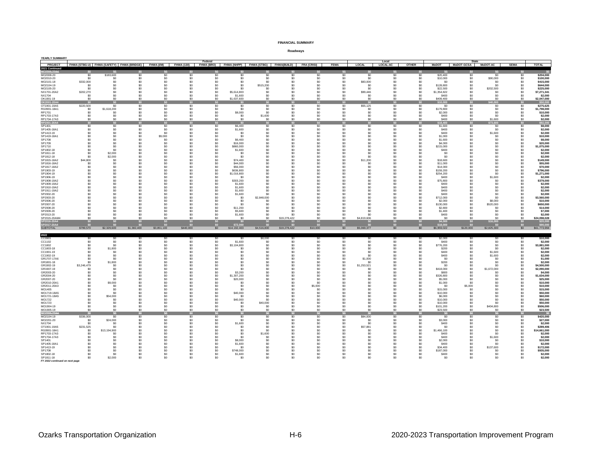| YEARLY SUMMARY                 |                                                      |                     |                 |                       |                       |                                  |                         |                  |                                                  |                |             |                            |                       |                       |                         |                              |                  |                 |                           |
|--------------------------------|------------------------------------------------------|---------------------|-----------------|-----------------------|-----------------------|----------------------------------|-------------------------|------------------|--------------------------------------------------|----------------|-------------|----------------------------|-----------------------|-----------------------|-------------------------|------------------------------|------------------|-----------------|---------------------------|
| PROJECT                        | FHWA (STBG-U) FHWA (SAFETY) FHWA (BRIDGE) FHWA (I/M) |                     |                 |                       |                       | Federal<br>FHWA (130) FHWA (BRO) |                         |                  | FHWA (NHPP) FHWA (STBG) FHWA (BUILD) FRA (CRISI) |                | <b>FEMA</b> | <b>LOCAL</b>               | Local<br>LOCAL-AC     | <b>OTHER</b>          | <b>MoDOT</b>            | State<br>MoDOT-GCSA MoDOT-AC |                  | <b>SEMA</b>     | <b>TOTAL</b>              |
| 2021 Continued                 |                                                      |                     |                 |                       |                       |                                  |                         |                  |                                                  |                |             |                            |                       |                       |                         |                              |                  |                 |                           |
|                                |                                                      |                     |                 | 80                    |                       |                                  |                         |                  |                                                  | \$0            | \$9         |                            |                       |                       |                         | \$0                          |                  |                 |                           |
| MO2008-20                      | \$0                                                  | \$183,600           | $\overline{50}$ | 50                    | \$0                   | S <sub>0</sub>                   | \$0                     | \$0              | \$0                                              | \$0            | \$0         | S <sub>0</sub>             | \$0                   | $rac{50}{50}$         | \$20,400                | \$0                          | 50               | \$0             | \$204,000                 |
| MO2010-20                      | \$0                                                  | \$0                 | \$0             | \$0                   | $\ddot{s}$            | S <sub>0</sub>                   | \$0                     | \$0              | \$0                                              | \$0            | \$0         | \$0                        | SO                    |                       | \$10,000                | \$0                          | \$90,000         | \$0             | \$100,000                 |
| MO2101-18<br>MO2104-19         | \$332,000                                            | \$0<br>\$0          | \$0<br>\$0      | \$0<br>\$0            | \$0<br>SO             | \$0<br>SO.                       | \$0<br>\$0              | \$0              | \$0                                              | \$0<br>\$0     | \$0<br>\$0  | \$83,000<br>\$0            | \$0<br>\$0            | \$0                   | \$0<br>\$128,800        | \$0<br>\$0                   | \$0<br>\$0       | \$0<br>SO.      | \$415,000<br>\$644,000    |
|                                | \$0<br>\$0                                           | \$0                 | \$0             | \$0                   | \$0                   | S <sub>0</sub>                   | \$n                     | \$515,200<br>\$0 | SO.<br>\$n                                       | \$0            | \$0         | \$0                        | S <sub>0</sub>        | \$0                   |                         |                              |                  |                 |                           |
| MO2105-20<br>NX1701-20A2       | \$202,270                                            | \$0                 | \$0             | S <sub>0</sub>        | \$0                   | \$0                              | \$5,614,803             | \$0              | \$0                                              | \$0            | \$0         | \$99,446                   | \$0                   | \$0<br>\$0            | \$22,500<br>\$1,354,822 | \$0<br>\$0                   | \$202,500<br>\$0 | \$0<br>\$0      | \$225,000<br>\$7,271,341  |
| NX1704                         | \$0                                                  | \$0                 | \$0             | \$0                   | \$0                   | \$0                              | \$1,600                 | \$0              | \$0                                              | \$0            | \$0         | \$0                        | \$0                   | \$0                   | \$400                   | \$0                          | \$0              | \$0             | \$2,000                   |
| OK1901-19                      | \$0                                                  | \$0                 | \$0             | \$0                   | $\mathsf{S} \Omega$   | $\ddot{s}$                       | \$1,637,600             | \$0              | \$0                                              | \$0            | \$0         | \$0                        | $\mathsf{S} \Omega$   | $\overline{50}$       | \$409,400               | \$0                          | \$0              | \$0             | \$2,047,000               |
| OK2001-20A4                    | \$0                                                  | \$0                 | \$0             | \$0                   | SO <sub>2</sub>       | \$0                              |                         | \$0              | \$0                                              | \$0            | \$0         |                            | \$0                   | \$0                   | \$10,000                | \$0                          | 0,000            | \$0             | \$50,000                  |
| OT1901-19A5                    | \$220,500                                            | -SO                 | \$0             | -SO                   | S0                    | S <sub>0</sub>                   | -SO                     | -SO              | SO.                                              | SO.            | \$0         | \$55,125                   | S <sub>0</sub>        | S <sub>0</sub>        | -SO                     | \$0                          | \$0              | \$0             | \$275,625                 |
| RG0901-18A1                    | \$0                                                  | \$1,618,200         | \$0             | S <sub>0</sub>        | \$0                   | SO.                              | \$0                     | \$0              | \$0                                              | \$0            | \$0         | \$0                        | \$0                   | \$0                   | \$179,800               | \$0                          | \$0              | \$0             | \$1,798,000               |
| RP1701                         | \$0                                                  | \$0                 | \$0             | \$0                   | \$0                   | \$0                              | \$8,000                 | \$0              | \$0                                              | \$0            | \$0         | \$0                        | \$0                   | \$0                   | \$2,000                 | \$0                          | \$0              | \$0             | \$10,000                  |
| RP1703-17A3                    | \$0                                                  | \$0                 | \$0             | \$0                   | SO                    | SO                               | \$0                     | \$1,600          | \$0                                              | \$0            | \$0         | S <sub>0</sub>             | SO                    | \$0                   | \$400                   | \$0                          | \$0              | \$0             | \$2,000                   |
| RP1704-17A3                    | \$0                                                  | $\overline{50}$     | \$0             | \$0                   | \$0                   | $\mathsf{so}$                    | \$0                     | \$0              | \$0                                              | \$0            | \$0         | \$0                        | $\mathsf{S} \Omega$   | $\overline{50}$       | \$400                   | \$0                          | \$1,600          | \$0             | \$2,000                   |
| RP2001-20A4                    | \$0                                                  | \$0                 | \$0             | \$0                   | SO <sub>2</sub>       | \$0                              | \$0                     | \$0              | \$0                                              | \$0            | \$0         | \$0                        | SO                    | \$0                   | \$18,400                | \$0                          | \$73,600         | \$0             | \$92,000<br>\$8,000       |
| SP1401                         | \$0<br>\$0                                           | \$0                 | -\$0            | -SO<br>S <sub>0</sub> | S <sub>0</sub><br>\$0 | \$0<br>\$0                       | \$6,400                 | SO.<br>\$0       | \$0<br>\$0                                       | \$0            | .so         | so.<br>S <sub>0</sub>      | \$0<br>\$0            | \$0<br>\$0            | \$1,600<br>\$400        | S <sub>0</sub>               | SO.<br>\$0       | \$0<br>\$0      |                           |
| SP1405-18A1<br>SP1413-19       | \$0                                                  | \$0<br>\$0          | \$0<br>\$0      | \$0                   | \$0                   | \$0                              | \$1,600<br>\$0          | \$0              | \$0                                              | \$0<br>\$0     | \$0<br>\$0  | S <sub>0</sub>             | \$0                   | \$0                   | \$400                   | \$0<br>\$0                   | \$1,600          | \$0             | \$2,000<br>\$2,000        |
| SP1419-18A1                    | \$0                                                  | \$0                 | \$0             | \$9,000               | SO                    | SO                               | \$0                     | \$0              | \$0                                              | \$0            | \$0         | \$0                        | SO                    | S <sub>0</sub>        | \$1,000                 | \$0                          | \$0              | \$0             | \$10,000                  |
| SP1708                         | \$n                                                  | \$0                 | \$0             | \$0                   | \$0                   | \$0                              | \$6,400                 | \$0              | \$n                                              | \$0            | \$0         | \$0                        | \$0                   | S0                    | \$1,600                 | \$0                          | \$0              | \$0             | \$8,000                   |
| SP1709                         | \$0                                                  | \$0                 | \$0             | \$0                   | \$0                   | \$0                              | \$16,000                | \$0              | \$0                                              | \$0            | \$0         | \$0                        | \$0                   | \$0                   | \$4,000                 | \$0                          | \$0              | \$0             | \$20,000                  |
| SP1710                         | SO.                                                  | \$0                 | \$0             | \$0                   | \$0                   | \$0                              | \$860,000               | \$0              | \$0                                              | \$0            | \$0         | \$0                        | S <sub>0</sub>        | \$0                   | \$215,000               | \$0                          | \$0              | \$0             | \$1,075,000               |
| SP1802-18                      | \$0                                                  | \$0                 | \$0             | S <sub>0</sub>        | \$0                   | \$0                              | \$1,600                 | \$0              | \$0                                              | \$0            | \$0         | S <sub>0</sub>             | S <sub>0</sub>        | S0                    | \$400                   | \$0                          | \$0              | \$0             | \$2,000                   |
| SP1811-18                      | \$0                                                  | \$2,000             | \$C             | \$0                   | \$0                   | \$0                              | \$0                     | \$0              | \$0                                              | \$0            | \$0         | \$0                        | \$0                   | \$0                   | \$0                     | \$0                          | \$0              | \$0             | \$2,000                   |
| SP1812-18                      | \$0                                                  | \$2,000             | \$0             | \$0                   | SO                    | S <sub>0</sub>                   | \$0                     | \$0              | \$0                                              | \$0            | \$0         | \$0                        | \$0                   | \$0                   | \$0                     | \$0                          | \$0              | $\ddot{s}$      | \$2,000                   |
| SP1815-18A2<br>SP1816-18A2     | \$44,800<br>\$0                                      | \$0<br>\$0          | \$0<br>\$0      | \$0<br>S <sub>0</sub> | S <sub>0</sub><br>\$0 | S <sub>0</sub><br>\$0            | \$74,400<br>\$44,000    | \$0<br>\$0       | \$n<br>\$0                                       | \$0<br>\$0     | \$0<br>\$0  | \$11,200<br>S <sub>0</sub> | S <sub>0</sub><br>\$O | S <sub>0</sub><br>\$0 | \$18,600                | \$0<br>\$0                   | \$n<br>\$0       | \$0             | \$149,000<br>\$55,000     |
| SP1817-18A2                    | \$0                                                  | \$0                 | \$0             | \$0                   | \$0                   | S <sub>0</sub>                   | \$56,000                | \$0              | SO.                                              | \$0            | \$0         | \$0                        | S <sub>0</sub>        | \$0                   | \$11,000<br>\$14,000    | \$0                          | \$0              | \$0<br>\$0      | \$70,000                  |
| SP1903-19                      | \$0                                                  | \$0                 | \$0             | S <sub>0</sub>        | \$0                   | \$0                              | \$636,800               | \$0              | \$0                                              | \$0            | \$0         | S <sub>0</sub>             | \$0                   | \$0                   | \$159,200               | \$0                          | \$0              | \$0             | \$796,000                 |
| SP1904-19                      | \$0                                                  | \$0                 | \$C             | \$0                   | \$0                   | \$0                              | \$1,016,800             | \$0              | \$0                                              | \$0            | \$0         | \$0                        | \$O                   | \$0                   | \$254,200               | \$0                          | \$0              | \$0             | \$1,271,000               |
| SP1906-19                      | \$0                                                  | \$0                 | \$0             | \$0                   | SO                    | S <sub>0</sub>                   | -≈∩                     | \$0              | \$0                                              | \$0            | \$0         | \$0                        | \$0                   | \$0                   | \$400                   | \$0                          | \$1,600          | \$0             | \$2,000                   |
| SP1908-19A2                    | ፍሰ                                                   | \$0                 | \$0             | \$0                   | S <sub>0</sub>        | S <sub>0</sub>                   | \$303,200               | \$0              | \$n                                              | \$0            | \$0         | \$0                        | S <sub>0</sub>        | \$0                   | \$75,800                | \$0                          | SO.              | \$0             | \$379,000                 |
| SP1909-19A2                    | \$ſ                                                  | \$0                 | \$C             | S <sub>0</sub>        | \$0                   | \$0                              | \$1,600                 | \$0              | \$0                                              | \$0            | \$0         | S <sub>0</sub>             | \$0                   | \$0                   | \$400                   | \$0                          | \$0              | \$0             | \$2,000                   |
| SP1910-19A2                    | \$0                                                  | \$0                 | \$0             | \$0                   | \$0                   | \$0                              | \$1,600                 | \$0              | \$0                                              | \$0            | \$0         | \$0                        | \$0                   | \$0                   | \$400                   | \$0                          | \$0              | \$0             | \$2,000                   |
| SP1911-19A2                    | \$0                                                  | \$0                 | \$0             | \$0                   | \$0                   | \$0                              | \$1,600                 | \$0              | \$0                                              | \$0            | \$0         | S <sub>0</sub>             | \$0                   | \$0                   | \$400                   | \$0                          | \$0              | \$0             | \$2,000                   |
| SP2002-20                      | \$0                                                  | \$n                 | \$0             | \$0                   | $\mathbf{s}$          | \$0                              | \$1,600                 | \$0              |                                                  | \$0            | \$0         | \$0                        | Ś۵                    | \$0                   | \$400                   | \$0                          | \$0              | \$0             | \$2,000                   |
| SP2003-20                      | SO.                                                  | \$0                 | \$0             | \$0                   | \$0                   | \$0                              | -SO                     | \$2,848,000      | SO.                                              | \$0            | \$0         | \$0                        | S <sub>0</sub>        | S <sub>0</sub>        | \$712,000               | \$0                          | \$0              | \$0             | \$3,560,000               |
| SP2006-20                      | ፍሰ                                                   | \$0                 | \$0             | \$0                   | S <sub>0</sub>        | S0                               | \$0                     | \$0              | \$n                                              | \$0            | \$0         | S.                         | S <sub>0</sub>        | \$0                   | \$2,000                 | \$0                          | \$8,000          | \$0             | \$10,000                  |
| SP2007-20                      | \$0                                                  | \$0                 | \$C             | S <sub>0</sub>        | \$0<br>\$0            |                                  |                         | \$0              | \$0                                              | \$0            | \$0         | \$C<br>\$0                 | \$0                   | S0                    | \$130,000               | \$0<br>\$0                   | \$520,000        | \$0<br>\$0      | \$650,000                 |
| SP2008-20                      |                                                      | \$0                 | \$0<br>\$0      | \$0                   |                       | \$0                              | \$11,200                | \$0              | \$0                                              | \$0            | \$0<br>\$0  |                            | \$0                   | \$0<br>\$0            | \$2,800                 |                              | \$0<br>\$0       |                 | \$14,000                  |
| SP2009-20<br>SP2013-20         | \$0<br>\$0                                           | \$0<br>\$0          | \$0             | \$0<br>\$0            | \$0<br>\$0            | \$0<br>\$0                       | \$5,600<br>\$1,600      | \$0<br>\$0       | \$0                                              | \$0<br>\$0     | \$0         | S <sub>0</sub><br>\$C      | \$0<br>\$O            | \$0                   | \$1,400<br>\$400        | \$0<br>\$0                   | \$0              | \$0<br>\$0      | \$7,000<br>\$2,000        |
| SP2015-20AM4                   | \$0                                                  | \$0                 | \$0             | \$0                   | SO                    | S <sub>0</sub>                   | \$0                     | \$0              | \$19,278,422                                     | \$0            | \$0         | \$4,819,606                | SO                    | $\ddot{s}$            | \$0                     | \$0                          | \$0              | so.             | \$24,098,028              |
| SP2016-20A4                    |                                                      |                     |                 | SO <sub>2</sub>       | \$0\$                 |                                  | $\overline{\mathbf{s}}$ |                  |                                                  | \$0            | \$0         |                            | \$0                   | \$0                   |                         | \$0                          | \$16,000         | \$0             | \$20,000                  |
| SP2017-20A                     | SO                                                   | SO                  | \$0             | \$0                   | \$0                   | \$0                              | \$72,000                | \$0              |                                                  | \$0            | \$0         | S <sub>0</sub>             | \$0                   | \$0                   | \$4,000<br>\$18,000     | \$0                          |                  | \$0             | \$90,000                  |
| <b>SUBTOTAL</b>                | \$799,570                                            | \$2,329,600         | \$1,382,400     | \$3,851,100           | \$440,000             | \$0                              | \$14,192,403            | \$4,516,800      | \$19,278,422                                     | \$10,000       | \$0         | \$5,069,377                | \$0                   | \$0                   | \$6,959,022             | \$120,000                    | \$2,825,300      | \$0             | \$61,773,994              |
|                                |                                                      |                     |                 |                       |                       |                                  |                         |                  |                                                  |                |             |                            |                       |                       |                         |                              |                  |                 |                           |
| 2022                           |                                                      |                     |                 |                       |                       |                                  |                         |                  |                                                  |                |             |                            |                       |                       |                         |                              |                  |                 |                           |
| CC0901                         | \$0                                                  | \$0                 | \$0             | S <sub>0</sub>        | $_{\rm S0}^{\rm SO}$  | $\frac{\$0}{\$0}$                | -SO                     | \$8,000          | \$0                                              | \$0            | \$0         | s0                         | S <sub>0</sub>        | $\frac{50}{50}$       | \$2,000                 | \$0                          | SO.              | \$0             | \$10,000                  |
| CC1102                         | \$0                                                  | \$0                 | \$0             | \$0                   |                       |                                  | \$1,600                 | \$0              | \$0                                              | \$0            | \$0         | S <sub>0</sub>             | $\ddot{s}$            |                       | \$400                   | \$0                          | \$0              | \$0             | \$2,000                   |
| CC1802<br>CC1803-18            | \$0<br>\$0                                           | \$0<br>\$1,800      | \$0<br>\$0      | S <sub>0</sub><br>\$0 | \$0<br>\$0            | \$0<br>\$0                       | \$3,104,800<br>\$0      | \$0<br>\$0       | \$0<br>\$0                                       | \$0<br>\$0     | \$0<br>\$0  | S <sub>0</sub><br>\$0      | \$0<br>\$0            | S0<br>\$0             | \$776,200<br>\$200      | \$0<br>\$0                   | \$0<br>\$0       | \$0<br>\$0      | \$3,881,000<br>\$2,000    |
| CC1901-19                      | \$0                                                  | \$0                 | \$0             | \$0                   | \$0                   | \$0                              | \$0                     | \$0              | \$n                                              | \$0            | \$0         | \$0                        | \$0                   | \$0                   | \$400                   | \$0                          | \$1,600          | \$0             | \$2,000                   |
| CC1902-19                      | \$0                                                  | \$0                 | \$0             | \$0                   | \$0                   | \$0                              | \$0                     | \$0              | \$0                                              | \$0            | \$0         | \$0                        | \$O                   | S0                    | \$400                   | \$0                          | \$1,600          | \$0             | \$2,000                   |
| GR1707-17A6                    | SO.                                                  | \$0                 | \$0             | \$0                   | SO                    | \$0                              | \$0                     | \$0              | SO.                                              | \$0            | \$0         | \$1,000                    | \$0                   | S0                    | \$0                     | \$0                          | SO.              | \$0             | \$1,000                   |
| GR1801-18                      | \$0                                                  | \$1,800             | \$0             | S <sub>0</sub>        | S <sub>0</sub>        | S <sub>0</sub>                   | \$0                     | \$0              | \$0                                              | \$0            | \$0         | \$0                        | S <sub>0</sub>        | S0                    | \$200                   | \$0                          | \$0              | \$0             | \$2,000                   |
| GR1902-19                      | \$3,246,479                                          | \$0                 | \$C             | S <sub>0</sub>        | \$0                   | \$0                              |                         | \$0              | \$0                                              | \$0            | \$0         | \$1,253,521                | \$O                   | \$0                   | \$0                     | \$0                          | \$0              | \$0             | \$4,500,000               |
| GR1907-19                      | \$0                                                  | \$0                 | \$0             | \$0                   | SO                    | S <sub>0</sub>                   | \$0                     | \$0              | \$0                                              | \$0            | \$0         | S <sub>0</sub>             | SO                    | S <sub>0</sub>        | \$418,000               | \$0                          | \$1,672,000      | \$0             | \$2,090,000               |
| GR2003-20                      | \$0                                                  | -50                 | \$0             | \$0                   | \$0                   | S <sub>0</sub>                   | \$3,200                 | \$0              | \$0                                              | \$0            | \$0         | \$0                        | S <sub>0</sub>        | \$0                   | \$800                   | \$0                          | \$0              | \$0             | \$4,000                   |
| GR2004-20                      | \$0                                                  | \$0                 | \$0             | \$0                   | \$0                   | \$0                              | \$1,307,200             | \$0              | \$0                                              | \$0            | \$0         | \$0                        | Ś۵                    | \$0                   | \$326,800               | \$0                          | \$0              | \$0             | \$1,634,000               |
| GR2007-20                      | SO.                                                  | \$0                 | \$0             | \$0                   | \$0                   | \$0                              | \$20,000                | \$0              | SO.                                              | \$0            | \$0         | \$0                        | S <sub>0</sub>        | \$0                   | \$5,000                 | \$0                          | \$0              | \$0             | \$25,000                  |
| GR2010-20A1<br>GR2011-20A3     | \$0<br>\$0                                           | \$9,000<br>\$0      | \$0<br>\$C      | S <sub>0</sub><br>\$0 | S <sub>0</sub><br>\$0 | S <sub>0</sub><br>\$0            | -SO<br>\$0              | \$0<br>\$0       | \$0<br>\$0                                       | \$0<br>\$5,000 | \$0<br>\$0  | \$0<br>\$0                 | S <sub>0</sub><br>\$O | -SO<br>\$0            | \$1,000<br>\$0          | \$0<br>\$5,000               | \$0<br>\$0       | \$0<br>\$0      | \$10,000<br>\$10,000      |
| MO1405                         | \$0                                                  | \$0                 | \$0             | \$0                   | SO                    | \$0                              | \$0                     | \$0              | \$0                                              | so.            | \$0         | \$0                        | \$0                   | S <sub>0</sub>        | \$15,000                | \$0                          | \$0              | \$0             | \$15,000                  |
| MO1719-18A5                    | \$0                                                  | \$0                 | \$0             | \$0                   | S <sub>0</sub>        | S <sub>0</sub>                   | \$40,000                | \$0              | \$n                                              | \$0            | \$0         | \$0                        | S <sub>0</sub>        | \$0                   | \$10,000                | \$0                          | \$n              | \$0             | \$50,000                  |
| MO1721-18A5                    | \$0                                                  | \$54,000            | \$0             | \$0                   | \$0                   | \$0                              | \$0                     | \$0              | \$0                                              | \$0            | \$0         | S <sub>0</sub>             | \$0                   | \$0                   | \$6,000                 | \$0                          | \$0              | \$0             | \$60,000                  |
| MO1722                         | SO.                                                  | -50                 | \$0             | \$0                   | \$0                   | S <sub>0</sub>                   | \$40,000                | \$0              | SO.                                              | \$0            | \$0         | so.                        | S <sub>0</sub>        | S <sub>0</sub>        | \$10,000                | \$0                          | \$0              | \$0             | \$50,000                  |
| MO1723                         | \$0                                                  | \$0                 | \$0             | S <sub>0</sub>        | \$0                   | \$0                              | \$0                     | \$40,000         | \$0                                              | \$0            | \$0         | S <sub>0</sub>             | S <sub>0</sub>        | \$0                   | \$10,000                | \$0                          | \$0              | \$0             | \$50,000                  |
| MO1904-19                      | \$0                                                  | \$0                 | \$0             | \$0                   | \$0                   | \$0                              | \$0                     | \$0              | \$0                                              | \$0            | \$0         | \$0                        | \$0                   | \$0                   | \$101,200               | \$0                          | \$404,800        | \$0             | \$506,000                 |
| MO1905-19                      | \$0                                                  | $\ddot{s}$          | $\ddot{s}$      | \$0                   | $\ddot{s}$            | S <sub>0</sub>                   | \$0                     | $\ddot{s}$       | \$0                                              | $\ddot{s}$     | \$0         | \$0                        | SO                    | $\overline{50}$       | \$23,500                | $\ddot{s}$                   | \$0              | so.             | \$23,500                  |
| <b>MO2006-204</b>              | SO <sub>2</sub>                                      | \$0                 | SO <sub>2</sub> | SO <sub>2</sub>       | \$0                   | \$0                              | SQ.                     | \$0.             | SO <sub>2</sub>                                  | \$0            | \$0         | S <sub>0</sub>             | \$0                   | \$0                   | - 50                    | SO.                          | SO <sub>2</sub>  | SO <sub>2</sub> | - 50                      |
| MO2104-19                      | \$336,000                                            | \$0                 | \$0             | \$0                   | \$0                   | \$0                              | \$0                     | \$0              | \$0                                              | \$0            | \$0         | \$84,000                   | \$0                   | \$0                   | \$0                     | \$0                          | \$0              | \$0             | \$420,000                 |
| MO2201-20                      | -SO                                                  | \$24,000            | \$0             | \$0                   | \$0                   | \$0                              | \$0                     | \$0              | \$0                                              | \$0            | \$0         | -SO                        | \$0                   | \$0                   | \$3,000                 | \$0                          | \$0              | \$0             | \$27,000                  |
| NX1704                         | \$0                                                  | \$0                 | \$0             | S <sub>0</sub>        | \$0                   | \$0                              | \$1,600                 | \$0              | \$0                                              | \$0            | \$0         | S <sub>0</sub>             | \$0                   | \$0                   | \$400                   | \$0                          | \$0              | \$0             | \$2,000                   |
| OT1901-19A5<br>RG0901-18A1     | \$231,525<br>\$0                                     | \$0<br>\$13 194 900 | \$0<br>\$0      | \$0<br>\$0            | \$0<br>SO             | \$0<br>\$0                       | \$0<br>\$0              | \$0<br>\$0       | \$0<br>\$0                                       | \$0<br>\$0     | \$0<br>\$0  | \$57,881<br>\$0            | \$0<br>SO             | \$0<br>S <sub>0</sub> | \$0<br>\$1,466,100      | \$0<br>\$0                   | \$0<br>\$0       | \$0<br>\$0      | \$289,406<br>\$14,661,000 |
| RP1703-17A3                    | \$0                                                  | \$0                 | \$0             | S <sub>0</sub>        | \$0                   | S <sub>0</sub>                   | \$0                     | \$1,600          | \$0                                              | \$0            | \$0         | S <sub>0</sub>             | S <sub>0</sub>        | \$0                   | \$400                   | \$0                          | \$0              | \$0             | \$2,000                   |
| RP1704-17A3                    | \$0                                                  | \$0                 | \$0             | \$0                   | \$0                   | \$0                              | \$0                     | \$0              | \$0                                              | \$0            | \$0         | \$0                        | \$0                   | \$0                   | \$400                   | \$0                          | \$1,600          | \$0             | \$2,000                   |
| SP1401                         | \$0                                                  | \$0                 | \$0             | \$0                   | \$0                   | \$0                              | \$8,000                 | \$0              | \$0                                              | \$0            | \$0         | \$0                        | S <sub>0</sub>        | S0                    | \$2,000                 | \$0                          | \$0              | \$0             | \$10,000                  |
| SP1405-18A1                    | ¢۵                                                   | \$0                 | \$0             | S <sub>0</sub>        | S <sub>0</sub>        | \$0                              | \$1,600                 | \$0              | \$0                                              | \$0            | \$0         | S <sub>0</sub>             | \$0                   | \$0                   | \$400                   | \$0                          | \$0              | \$0             | \$2,000                   |
| SP1413-19                      |                                                      | \$0                 | \$0             | \$0                   | SO                    | \$0                              | S0                      | \$0              | \$0                                              | \$0            | \$0         | \$0                        | Ś۵                    | \$0                   | \$34,400                | \$0                          | \$137,600        | \$0             | \$172,000                 |
| SP1708                         | SO.                                                  | so.                 | \$0             | \$0                   | SO                    | \$0                              | \$748,000               | \$0              | \$0                                              | \$0            | \$0         | \$0                        | \$0                   | SO                    | \$187,000               | \$0                          | \$0              | \$0             | \$935,000                 |
| SP1802-18                      | SO.                                                  | \$0                 | \$0             | \$0                   | S <sub>0</sub>        | \$0                              | \$1,600                 | \$0              | \$0                                              | \$0            | \$0         | \$0                        | S <sub>0</sub>        | \$0                   | \$400                   | \$0                          | \$0              | \$0             | \$2,000                   |
| SP1811-18                      | \$0                                                  | \$2,000             | \$C             | S <sub>0</sub>        | S <sub>0</sub>        | S <sub>0</sub>                   | \$0                     |                  | \$0                                              | \$0            | \$0         | S <sub>0</sub>             | \$O                   | \$0                   | \$0                     | \$0                          | \$0              | \$0             | \$2,000                   |
| FY 2022 continued on next page |                                                      |                     |                 |                       |                       |                                  |                         |                  |                                                  |                |             |                            |                       |                       |                         |                              |                  |                 |                           |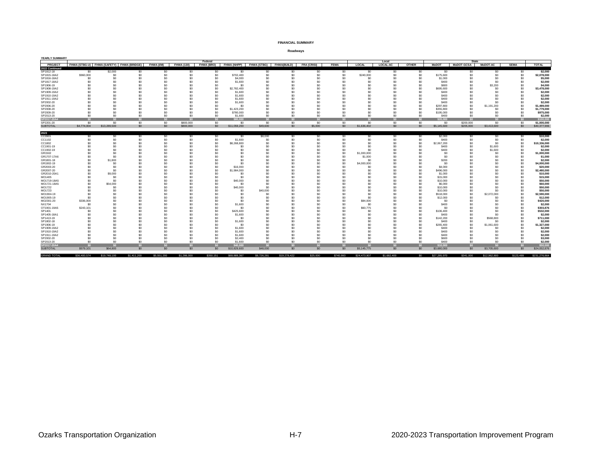| YEARLY SUMMARY        |                  |                                           |             |                                  |                   |                       |                      |                                                 |              |                    |             |                                    |                                  |                                  |                    |                            |                 |                 |                        |
|-----------------------|------------------|-------------------------------------------|-------------|----------------------------------|-------------------|-----------------------|----------------------|-------------------------------------------------|--------------|--------------------|-------------|------------------------------------|----------------------------------|----------------------------------|--------------------|----------------------------|-----------------|-----------------|------------------------|
| PROJECT               |                  | FHWA (STBG-U) FHWA (SAFETY) FHWA (BRIDGE) |             | FHWA (I/M)                       | <b>FHWA (130)</b> | Federal               |                      | FHWA (BRO) FHWA (NHPP) FHWA (STBG) FHWA (BUILD) |              | <b>FRA (CRISI)</b> | <b>FEMA</b> | LOCAL                              | Local<br><b>LOCAL-AC</b>         | <b>OTHER</b>                     | <b>MoDOT</b>       | State<br><b>MoDOT-GCSA</b> | <b>MoDOT-AC</b> | <b>SEMA</b>     | <b>TOTAL</b>           |
| 2022 Continued        |                  |                                           |             |                                  |                   |                       |                      |                                                 |              |                    |             |                                    |                                  |                                  |                    |                            |                 |                 |                        |
| SP1812-18             | \$0              | \$2,000                                   | \$0         | \$0                              | \$0               | \$0                   | \$0                  | \$0                                             | \$0          | \$0                | \$0         | \$0                                | \$0                              | S0                               | \$0                | SO.                        | \$0             | \$0             | \$2,000                |
| SP1815-18A2           | \$960,000        | \$0                                       | \$0         | \$0                              | S <sub>0</sub>    | \$0                   | \$702,400            | \$O                                             | \$0          | \$0                | \$0         | \$240,000                          | \$0                              | \$0                              | \$175,600          | \$0                        | \$0             | \$0             | \$2,078,000            |
| SP1816-18A2           | \$0              | \$0                                       | \$0         | S <sub>0</sub>                   | S0                | \$0                   | \$4,000              | \$O                                             |              | \$0                | \$0         | \$0                                | S <sub>0</sub>                   | \$0                              | \$1,000            | \$ſ                        | \$0             | \$0             | \$5,000                |
| SP1817-18A2           | \$0              | \$n                                       | \$0         | \$0                              | SO.               | S <sub>0</sub>        | \$1,600              | \$0                                             |              | \$0                | \$0         | \$0                                | S <sub>0</sub>                   | S <sub>0</sub>                   | \$400              | ۹ï                         | \$0             | \$0             | \$2,000                |
| SP1906-19             | \$0              | \$n                                       | \$0         | \$0                              | S <sub>0</sub>    | \$0                   | \$ſ                  | \$0                                             |              | \$0                | \$n         | \$0                                | S <sub>0</sub>                   | S <sub>0</sub>                   | \$800              | s <sub>0</sub>             | \$3,200         | \$0             | \$4,000                |
| SP1908-19A2           | \$0              | \$0                                       | \$0         | S <sub>0</sub>                   | S0                | S <sub>0</sub>        | \$2,782.400          | \$O                                             | \$ſ          | \$0                | \$0         | \$0                                | S <sub>0</sub>                   | S <sub>0</sub>                   | \$695,600          | \$ſ                        | \$0             | \$0             | \$3,478,000            |
| SP1909-19A2           | \$0              | \$0                                       | \$0         | \$0                              |                   | \$0                   | \$1,600              | \$0                                             |              | \$C                | \$0         | \$0                                | \$0                              | S <sub>0</sub>                   | \$400              |                            | \$0             | \$0             | \$2,000                |
| SP1910-19A2           | \$0              | -SO                                       | \$0         | S <sub>0</sub>                   |                   | \$0                   | \$1,600              | \$0                                             |              | \$0                | -SO         | \$0                                | S <sub>0</sub>                   | S <sub>0</sub>                   | \$400              |                            | s٥              | \$C             | \$2,000                |
| SP1911-19A2           | ¢۵               |                                           |             | \$0                              |                   | \$0                   | \$1,600              | \$O                                             |              |                    |             |                                    | \$0                              | \$0                              | \$400              |                            | ¢۵              | \$0             | \$2,000                |
| SP2002-20             | ፍሰ               | \$n                                       | \$0         | S <sub>0</sub>                   |                   | \$0                   | \$1,600              | \$O                                             |              | \$C                | \$n         |                                    | S <sub>0</sub>                   | S <sub>0</sub>                   | \$400              | \$n                        | \$0             | \$C             | \$2,000                |
| SP2006-20             |                  | ∾                                         | \$0         | S <sub>0</sub>                   |                   | S <sub>0</sub>        | - 20                 | s٥                                              |              | ∾                  | - ≮∩        |                                    | S <sub>0</sub>                   | S <sub>0</sub>                   | \$297,800          | \$0                        | \$1,191,200     | \$0             | \$1,489,000            |
| SP2008-20             | \$n              |                                           | \$0         | S <sub>0</sub>                   | SO.               | S <sub>0</sub>        | \$1,423,200          | \$O                                             |              | ∾                  | \$n         | SO <sub>1</sub>                    | S <sub>0</sub>                   | S <sub>0</sub>                   | \$355,800          | \$n                        | \$0             | \$0             | \$1,779,000            |
| SP2009-20             | \$0              | -SO                                       | \$0         | S <sub>0</sub>                   | so.               | S <sub>0</sub>        | \$780,000            | \$O                                             |              | \$0                | \$0         | \$0                                | S <sub>0</sub>                   | S <sub>0</sub>                   | \$195,000          | \$ſ                        | \$0             | \$0             | \$975,000              |
| SP2013-20             | \$0              | \$0                                       | \$0         | \$0                              | SO.               | SO.                   | \$1,600              | \$O                                             | \$0          | \$0                | \$0         | \$0                                | S <sub>0</sub>                   | S <sub>0</sub>                   | \$400              | \$0                        | \$0             | \$0             | \$2,000                |
| SP2017-20A            | 50               |                                           |             | SO <sub>2</sub>                  | SO <sub>2</sub>   | SO <sub>2</sub>       | \$80,000             | SO <sub>2</sub>                                 | \$0          | $\epsilon$         | $\epsilon$  | S <sub>0</sub>                     | SO <sub>2</sub>                  |                                  | \$20,000           |                            | $\Omega$        | SO <sub>2</sub> | \$100,000              |
| SP2201-20             | \$0              | \$0                                       | \$0         | 50                               | \$800,000         | 50                    | \$0                  | 50                                              | \$0          | \$0                | \$0         | 50                                 | 50                               | 50                               | \$0                | \$200,000                  | \$0             | $\overline{50}$ | \$1,000,000            |
| <b>SUBTOTAL</b>       | \$4,774,004      | \$13,289,500                              | \$0         | \$0                              | \$800,000         | \$0                   | \$11,059,200         | \$49,600                                        | \$0          | \$5,000            | \$0         | \$1,636,402                        | \$0                              | \$0                              | \$5,145,600        | \$205,000                  | \$3,413,600     | \$0             | \$40,377,906           |
|                       |                  |                                           |             |                                  |                   |                       |                      |                                                 |              |                    |             |                                    |                                  |                                  |                    |                            |                 |                 |                        |
| 2023                  |                  |                                           |             |                                  |                   |                       |                      |                                                 |              |                    |             |                                    |                                  |                                  |                    |                            |                 |                 |                        |
| CC0901                | \$0              | -SO                                       | \$0         | S0                               | S0                | SO.                   | SO.                  | \$8,000                                         | \$0          | SO.                | \$0         | S0                                 | SO.                              | S0                               | \$2,000            | \$0                        | SO.             | -\$0            | \$10,000               |
| CC1102                | \$0              | \$n                                       | \$0         | \$0                              | S <sub>0</sub>    | \$0                   | \$1,600              | \$0                                             |              | \$0                | \$0         | S <sub>0</sub>                     | S <sub>0</sub>                   | S <sub>0</sub>                   | \$400              | \$n                        | \$0             | \$0             | \$2,000                |
| CC1802                |                  |                                           | \$0         | S <sub>0</sub>                   | SO.               | \$0                   | \$8,268,800          | \$O                                             |              | \$0                | \$0         | \$0                                | S <sub>0</sub>                   | S <sub>0</sub>                   | \$2,067,200        |                            | \$0             | \$0             | \$10,336,000           |
| CC1901-19             |                  | \$n                                       | \$0         | S <sub>0</sub>                   |                   | \$0                   | \$ſ                  | \$O                                             |              | \$0                | \$n         | SO <sub>1</sub>                    | \$0                              | S <sub>0</sub>                   | \$400              | ۹ï                         | \$1,600         | \$0             | \$2,000                |
| CC1902-19             | \$۵              | \$0                                       | \$0         | S <sub>0</sub>                   |                   | S <sub>0</sub>        | \$0                  | \$O                                             |              | \$0                | \$0         | SO <sub>1</sub>                    | S <sub>0</sub>                   | S <sub>0</sub>                   | \$400              | ۹ï                         | \$1,600         | \$0             | \$2,000                |
| GR1502                |                  | $\sim$                                    |             | \$0                              |                   | S <sub>0</sub>        | \$ſ                  | Ś۵                                              |              | ٩r                 | \$0         | \$1,000,000                        | S <sub>0</sub>                   | S0                               | \$0                |                            | \$0             | \$0             | \$1,000,000            |
| GR1707-17A6           | \$0              | \$n                                       | \$0         | \$0                              |                   | S <sub>0</sub>        | \$ſ                  | s <sub>0</sub>                                  |              | \$0                | \$0         | \$1,000                            | S <sub>0</sub>                   | S0                               | \$0                |                            | \$0             | \$0             | \$1,000                |
| GR1801-18             | \$0              | \$1,800                                   | \$0         | \$0                              |                   | S <sub>0</sub>        | \$ſ                  | s <sub>0</sub>                                  |              | \$C                | \$0         | SO <sub>1</sub>                    | S <sub>0</sub>                   | S0                               | \$200              |                            | \$0             | \$0             | \$2,000                |
| GR1902-19             | \$0              | -SO                                       | \$0         | S <sub>0</sub>                   |                   | \$0                   | \$0                  | s٥                                              |              | \$0                | \$0         | \$4,000,000                        | S <sub>0</sub>                   | S <sub>0</sub>                   | \$0                |                            | \$0             | \$0             | \$4,000,000            |
| GR2003-20             |                  |                                           | \$0         | S <sub>0</sub>                   |                   | S <sub>0</sub>        | \$16,000             | s٥                                              |              | \$C                | \$0         | so.                                | S <sub>0</sub>                   | \$0                              | \$4,000            |                            | Ś٢              | \$C             | \$20,000               |
| GR2007-20             | \$۵              |                                           | \$0         | \$0                              |                   | \$0                   | \$1,984,000          | s٥                                              |              | \$C                | \$0         |                                    | S <sub>0</sub>                   | S <sub>0</sub>                   | \$496,000          |                            | Ś۵              | \$C             | \$2,480,000            |
| GR2010-20A1           | \$0              | \$9,000                                   | \$0         | S <sub>0</sub>                   |                   | \$0                   | \$ſ                  | \$0                                             |              | \$C                | -SO         |                                    | S <sub>0</sub>                   | \$0                              | \$1,000            |                            | s٥              | \$C             | \$10,000               |
| MO1405                | \$0              | - ≮∩                                      | \$n         | S <sub>0</sub>                   |                   | S <sub>0</sub>        | SC.                  | s٥                                              |              | ∾                  | \$n         |                                    | S <sub>0</sub>                   | S <sub>0</sub>                   | \$15,000           |                            | ¢۵              | \$C             | \$15,000               |
| MO1719-18A5           | \$0              | \$0                                       | \$0         | S <sub>0</sub>                   |                   | S <sub>0</sub>        | \$40,000             | \$O                                             |              | \$0                | \$n<br>\$n  | SO <sub>1</sub><br>SO <sub>1</sub> | S <sub>0</sub>                   | S <sub>0</sub>                   | \$10,000           |                            | \$0             | \$C             | \$50,000               |
| MO1721-18A5           | \$0              | \$54,000                                  | \$0         | S <sub>0</sub>                   | ۹n                | S <sub>0</sub>        | \$0                  | \$O                                             |              | \$0                |             |                                    | S <sub>0</sub>                   | \$0                              | \$6,000            |                            | Ś۵              | \$C             | \$60,000               |
| MO1722                | \$0              | -SO                                       | \$0         | S <sub>0</sub>                   | S0                | \$0                   | \$40,000             | \$O                                             |              | \$0                | \$0         | \$0                                | S <sub>0</sub>                   | \$0                              | \$10,000           | \$0                        | \$0             | \$0             | \$50,000               |
| MO1723                |                  |                                           | ∾           | S <sub>0</sub>                   |                   | \$0                   | \$0                  | \$40,000                                        |              | \$C                | \$n         |                                    | \$0                              | \$0                              | \$10,000           | ۹ï                         | Ś۵              | \$0             | \$50,000               |
| MO1904-19             | \$0              | - ≮∩                                      | \$0         | \$0                              |                   | S <sub>0</sub><br>\$0 | \$0                  | \$0                                             |              | \$0                | \$0         | \$0                                | S <sub>0</sub>                   | S <sub>0</sub>                   | \$518,000          | \$0                        | \$2,072,000     | \$0             | \$2,590,000            |
| MO1905-19             | \$0              | - ≮∩                                      | \$0         | \$0<br>\$0                       |                   |                       | \$ſ                  | \$0                                             |              | \$0                | \$0         | \$0                                | S <sub>0</sub><br>S <sub>0</sub> | S <sub>0</sub>                   | \$12,000           | s <sub>0</sub>             | \$0<br>\$0      | \$0             | \$12,000               |
| MO2301-20             | \$336,000<br>\$0 | -SO                                       | \$0<br>\$0  | \$0                              |                   | S <sub>0</sub><br>\$0 | S0<br>\$1,600        | s٥                                              |              | \$0<br>\$C         | \$0<br>\$0  | \$84,000<br>\$0                    | S <sub>0</sub>                   | S <sub>0</sub><br>S <sub>0</sub> | \$0<br>\$400       |                            | \$0             | \$0<br>\$C      | \$420,000<br>\$2,000   |
| NX1704                |                  | -SO                                       |             | S <sub>0</sub>                   |                   | S <sub>0</sub>        | \$ſ                  | \$0                                             |              | \$0                | \$0         |                                    | S <sub>0</sub>                   |                                  | \$0                |                            | s٥              | \$C             |                        |
| OT1901-19A5           | \$243,101<br>\$0 | \$0                                       | \$0<br>\$0  |                                  |                   | \$0                   |                      | \$0                                             |              | \$0                | \$0         | \$60,775<br>\$0                    | S <sub>0</sub>                   | S <sub>0</sub><br>\$0            |                    | s <sub>0</sub>             | \$0             | \$0             | \$303,876<br>\$532,000 |
| SP1401<br>SP1405-18A1 | \$0              | \$n                                       | \$0         | S <sub>0</sub><br>S <sub>0</sub> |                   | \$0                   | \$425,600<br>\$1,600 | \$O<br>\$O                                      |              | \$C                | \$0         | SO <sub>1</sub>                    | S <sub>0</sub>                   | S <sub>0</sub>                   | \$106,400<br>\$400 | \$0                        | \$0             | \$0             | \$2,000                |
| SP1413-19             | \$0              | -SO                                       | \$0         | S <sub>0</sub>                   | ۹n                | S <sub>0</sub>        | \$0                  | \$O                                             |              | \$0                | -SO         | so.                                | S <sub>0</sub>                   | S <sub>0</sub>                   | \$142,200          | \$0                        | \$568,800       | \$0             | \$711,000              |
| SP1802-18             | \$0              | \$0                                       | \$0         | S <sub>0</sub>                   | SO.               | \$0                   | \$1,600              | \$O                                             |              | \$0                | \$n         | \$0                                | S <sub>0</sub>                   | S <sub>0</sub>                   | \$400              | \$0                        | \$0             | \$0             | \$2,000                |
| SP1906-19             | \$0              | \$0                                       | \$0         | \$0                              | S0                | S <sub>0</sub>        | \$0                  | \$O                                             |              | \$0                | \$0         | S0                                 | S <sub>0</sub>                   | \$0                              | \$265,400          | \$0                        | \$1,061,600     | \$0             | \$1,327,000            |
| SP1909-19A2           | \$۵              |                                           |             | \$0                              |                   | S <sub>0</sub>        | \$1,600              | \$0                                             |              | ٩r                 |             |                                    | S <sub>0</sub>                   | S <sub>0</sub>                   | \$400              |                            | Ś۵              | \$0             | \$2,000                |
| SP1910-19A2           | \$0              | \$n                                       | \$0         | S <sub>0</sub>                   | ۹n                | \$0                   | \$1,600              | \$O                                             |              | \$0                | \$0         | SO <sub>1</sub>                    | S <sub>0</sub>                   | S <sub>0</sub>                   | \$400              |                            | \$0             | \$C             | \$2,000                |
| SP1911-19A2           | \$0              | \$0                                       | \$0         | S <sub>0</sub>                   | SO.               | S <sub>0</sub>        | \$1,600              | \$O                                             | \$ſ          | \$0                | \$0         | S0                                 | S <sub>0</sub>                   | S <sub>0</sub>                   | \$400              | \$ſ                        | \$0             | \$0             | \$2,000                |
| SP2002-20             | \$0              | \$0                                       | \$0         | \$0                              | SO.               | S <sub>0</sub>        | \$2,400              | \$O                                             | \$0          | \$0                | \$0         | S <sub>0</sub>                     | \$0                              | S <sub>0</sub>                   | \$600              | \$0                        | \$0             | \$0             | \$3,000                |
| SP2013-20             | \$0              | \$0                                       | \$0         | S <sub>0</sub>                   | S <sub>0</sub>    | S <sub>0</sub>        | \$1,600              | \$0                                             | \$0          | \$0                | \$0         | S <sub>0</sub>                     | S <sub>0</sub>                   | S <sub>0</sub>                   | \$400              | \$n                        | \$0             | \$0             | \$2,000                |
| SP2017-20A4           |                  |                                           |             |                                  |                   |                       | \$40,000             |                                                 |              |                    |             |                                    | \$0                              |                                  | \$10,000           |                            |                 |                 | \$50,000               |
| <b>SUBTOTAL</b>       | \$579,101        | \$64,800                                  | \$0         | \$0                              | \$0               | \$0                   | \$10,829,600         | \$48,000                                        | \$0          | \$0                | \$0         | \$5,145,775                        | \$0                              | \$0                              | \$3,680,000        | \$0                        | \$3,705,600     | \$0             | \$24,052,876           |
|                       |                  |                                           |             |                                  |                   |                       |                      |                                                 |              |                    |             |                                    |                                  |                                  |                    |                            |                 |                 |                        |
| <b>GRAND TOTAL</b>    | \$36,400.574     | \$19,748,100                              | \$1,411,200 | \$5,551,200                      | \$1,286,000       | \$350.151             | \$69,889,367         | \$9,726,281                                     | \$19,278,422 | \$25,000           | \$740.993   | \$24,473.907                       | \$1,682,400                      | SO                               | \$27,285,970       | \$341,000                  | \$12,962,800    | \$123,499       | \$231.276.864          |